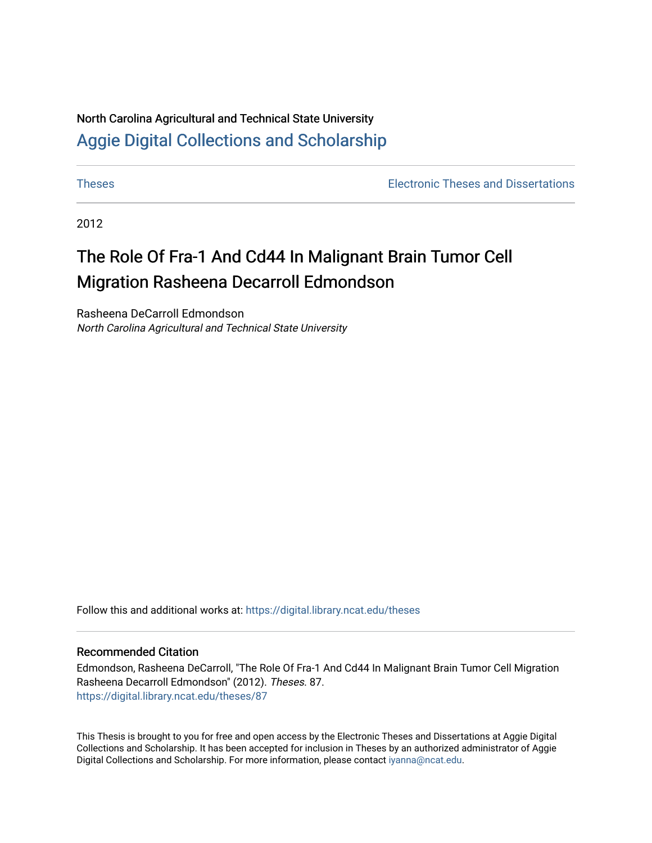# North Carolina Agricultural and Technical State University [Aggie Digital Collections and Scholarship](https://digital.library.ncat.edu/)

[Theses](https://digital.library.ncat.edu/theses) [Electronic Theses and Dissertations](https://digital.library.ncat.edu/etds) 

2012

# The Role Of Fra-1 And Cd44 In Malignant Brain Tumor Cell Migration Rasheena Decarroll Edmondson

Rasheena DeCarroll Edmondson North Carolina Agricultural and Technical State University

Follow this and additional works at: [https://digital.library.ncat.edu/theses](https://digital.library.ncat.edu/theses?utm_source=digital.library.ncat.edu%2Ftheses%2F87&utm_medium=PDF&utm_campaign=PDFCoverPages) 

## Recommended Citation

Edmondson, Rasheena DeCarroll, "The Role Of Fra-1 And Cd44 In Malignant Brain Tumor Cell Migration Rasheena Decarroll Edmondson" (2012). Theses. 87. [https://digital.library.ncat.edu/theses/87](https://digital.library.ncat.edu/theses/87?utm_source=digital.library.ncat.edu%2Ftheses%2F87&utm_medium=PDF&utm_campaign=PDFCoverPages)

This Thesis is brought to you for free and open access by the Electronic Theses and Dissertations at Aggie Digital Collections and Scholarship. It has been accepted for inclusion in Theses by an authorized administrator of Aggie Digital Collections and Scholarship. For more information, please contact [iyanna@ncat.edu.](mailto:iyanna@ncat.edu)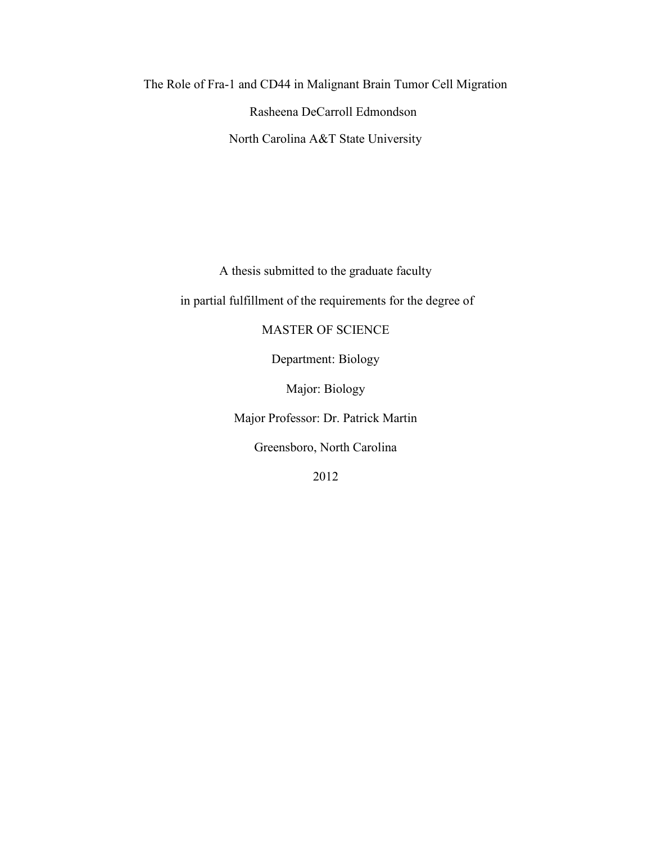The Role of Fra-1 and CD44 in Malignant Brain Tumor Cell Migration Rasheena DeCarroll Edmondson North Carolina A&T State University

A thesis submitted to the graduate faculty

in partial fulfillment of the requirements for the degree of

MASTER OF SCIENCE

Department: Biology

Major: Biology

Major Professor: Dr. Patrick Martin

Greensboro, North Carolina

2012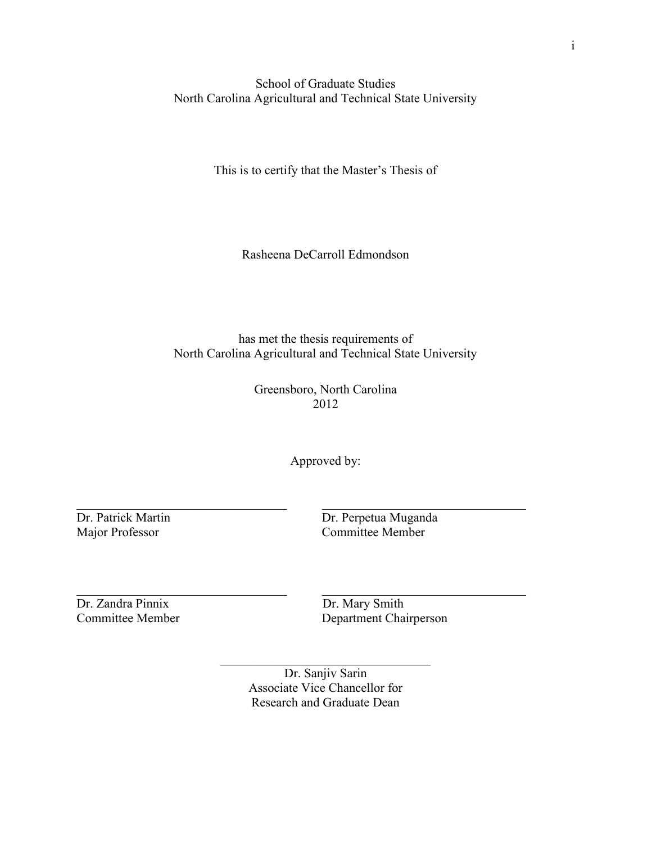School of Graduate Studies North Carolina Agricultural and Technical State University

This is to certify that the Master's Thesis of

Rasheena DeCarroll Edmondson

has met the thesis requirements of North Carolina Agricultural and Technical State University

> Greensboro, North Carolina 2012

> > Approved by:

 $\_$  , and the contribution of the contribution of  $\_$  . The contribution of the contribution of  $\mathcal{L}_\mathcal{A}$ 

 $\_$  , and the contribution of the contribution of  $\_$  . The contribution of the contribution of  $\mathcal{L}_\mathcal{A}$ 

Dr. Patrick Martin Dr. Perpetua Muganda Major Professor Committee Member

Dr. Zandra Pinnix Dr. Mary Smith

Department Chairperson

Dr. Sanjiv Sarin Associate Vice Chancellor for Research and Graduate Dean

 $\mathcal{L}_\text{max}$  , and the contract of the contract of the contract of the contract of the contract of the contract of the contract of the contract of the contract of the contract of the contract of the contract of the contr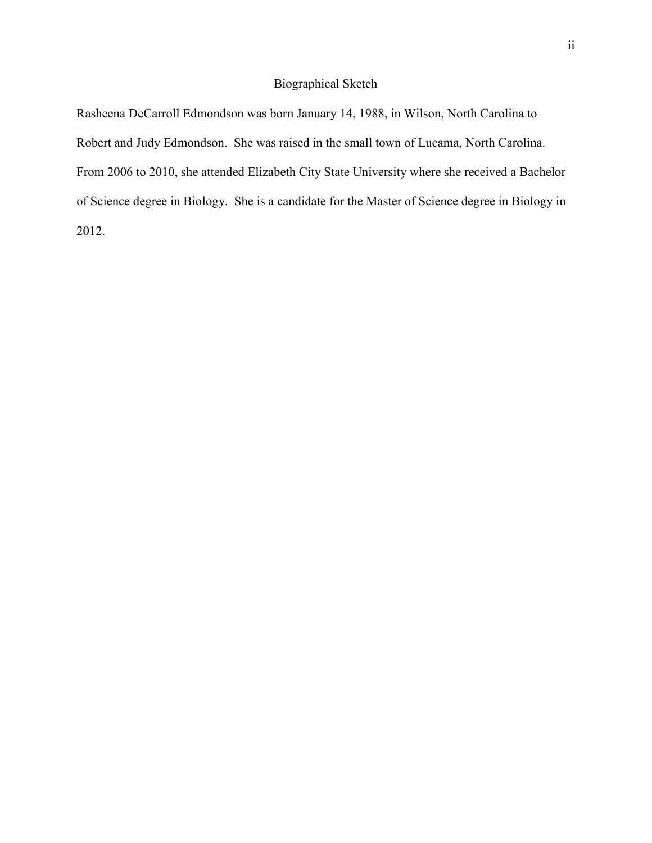## Biographical Sketch

Rasheena DeCarroll Edmondson was born January 14, 1988, in Wilson, North Carolina to Robert and Judy Edmondson. She was raised in the small town of Lucama, North Carolina. From 2006 to 2010, she attended Elizabeth City State University where she received a Bachelor of Science degree in Biology. She is a candidate for the Master of Science degree in Biology in 2012.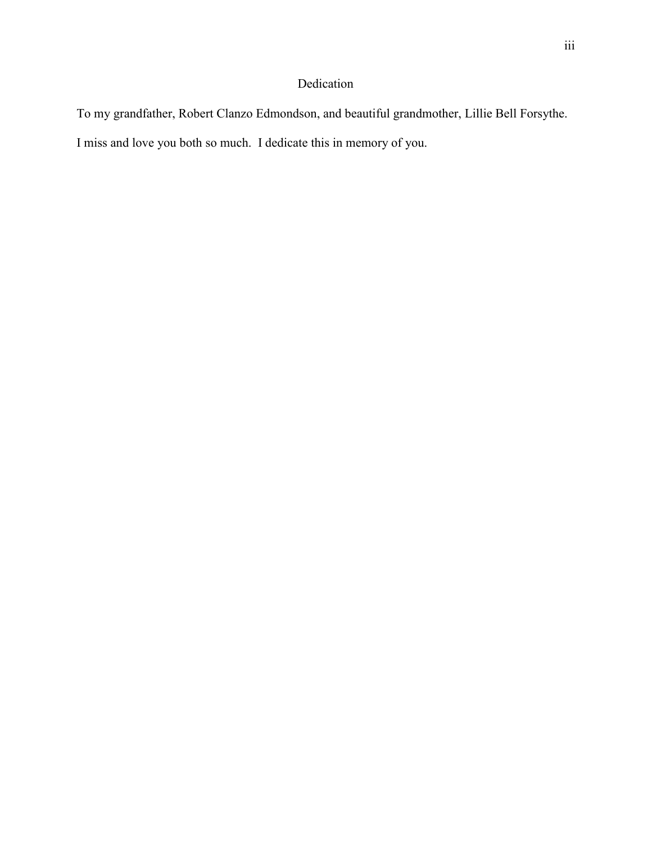## Dedication

To my grandfather, Robert Clanzo Edmondson, and beautiful grandmother, Lillie Bell Forsythe. I miss and love you both so much. I dedicate this in memory of you.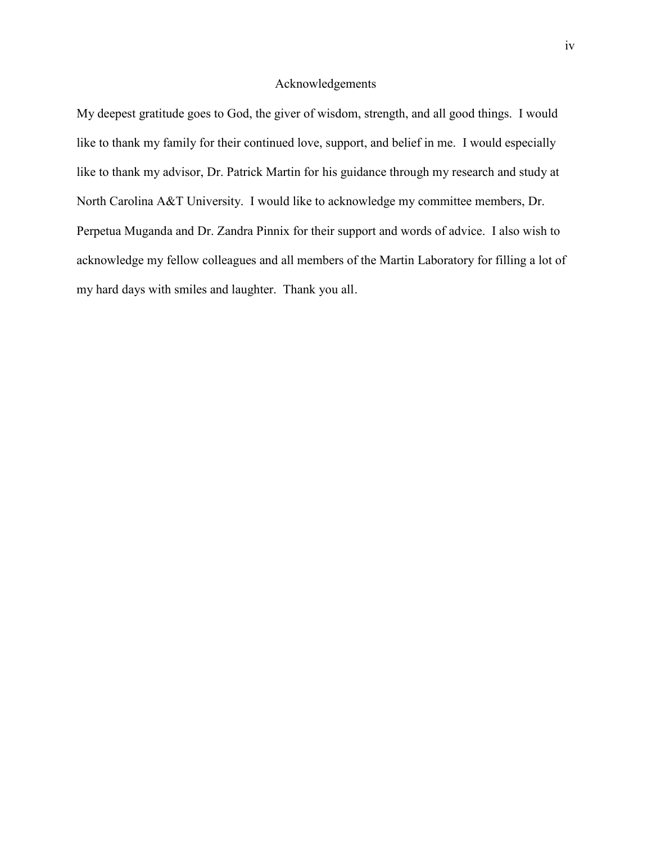## Acknowledgements

My deepest gratitude goes to God, the giver of wisdom, strength, and all good things. I would like to thank my family for their continued love, support, and belief in me. I would especially like to thank my advisor, Dr. Patrick Martin for his guidance through my research and study at North Carolina A&T University. I would like to acknowledge my committee members, Dr. Perpetua Muganda and Dr. Zandra Pinnix for their support and words of advice. I also wish to acknowledge my fellow colleagues and all members of the Martin Laboratory for filling a lot of my hard days with smiles and laughter. Thank you all.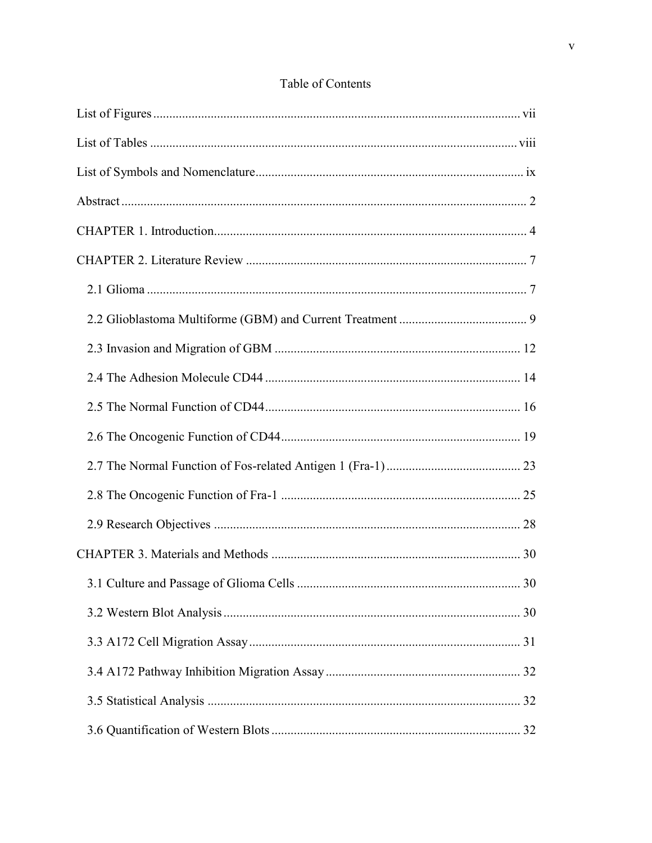## Table of Contents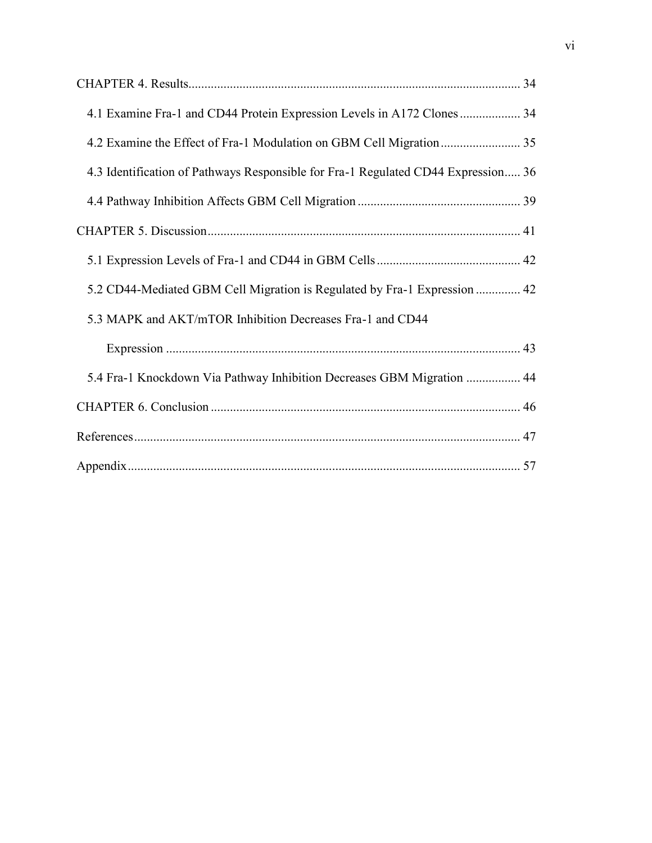| 4.1 Examine Fra-1 and CD44 Protein Expression Levels in A172 Clones  34           |  |
|-----------------------------------------------------------------------------------|--|
|                                                                                   |  |
| 4.3 Identification of Pathways Responsible for Fra-1 Regulated CD44 Expression 36 |  |
|                                                                                   |  |
|                                                                                   |  |
|                                                                                   |  |
| 5.2 CD44-Mediated GBM Cell Migration is Regulated by Fra-1 Expression  42         |  |
| 5.3 MAPK and AKT/mTOR Inhibition Decreases Fra-1 and CD44                         |  |
|                                                                                   |  |
| 5.4 Fra-1 Knockdown Via Pathway Inhibition Decreases GBM Migration  44            |  |
|                                                                                   |  |
|                                                                                   |  |
|                                                                                   |  |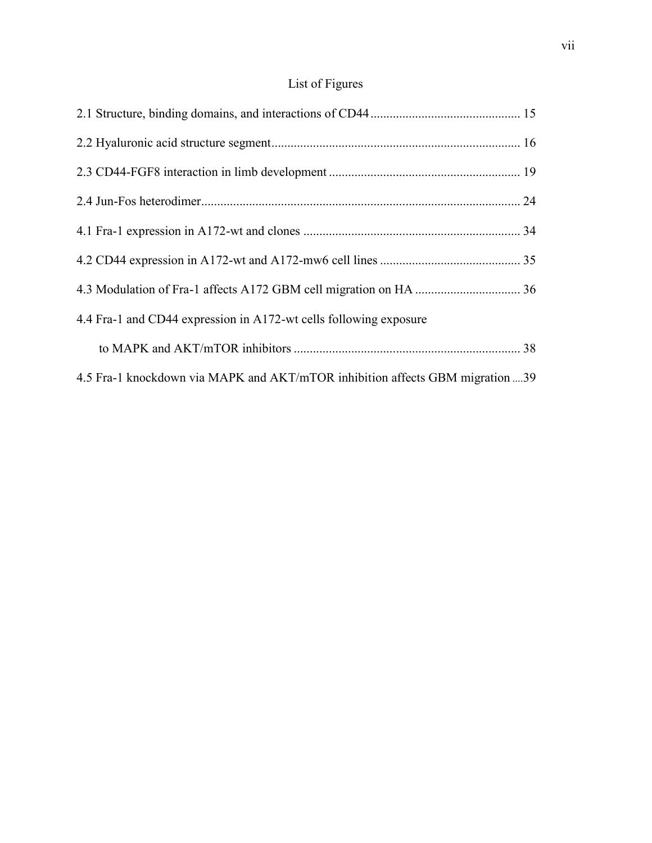# List of Figures

| 4.4 Fra-1 and CD44 expression in A172-wt cells following exposure             |  |
|-------------------------------------------------------------------------------|--|
|                                                                               |  |
| 4.5 Fra-1 knockdown via MAPK and AKT/mTOR inhibition affects GBM migration 39 |  |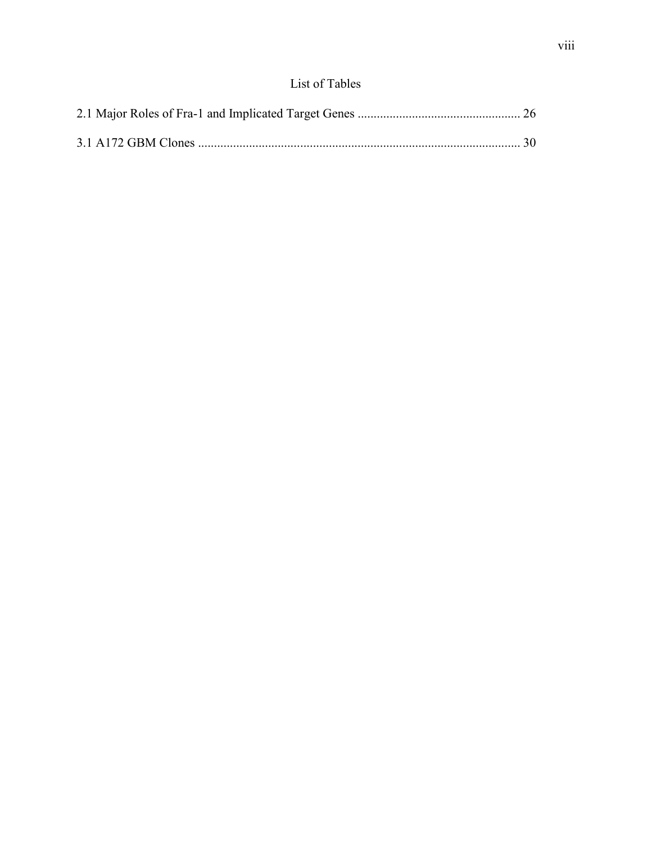## List of Tables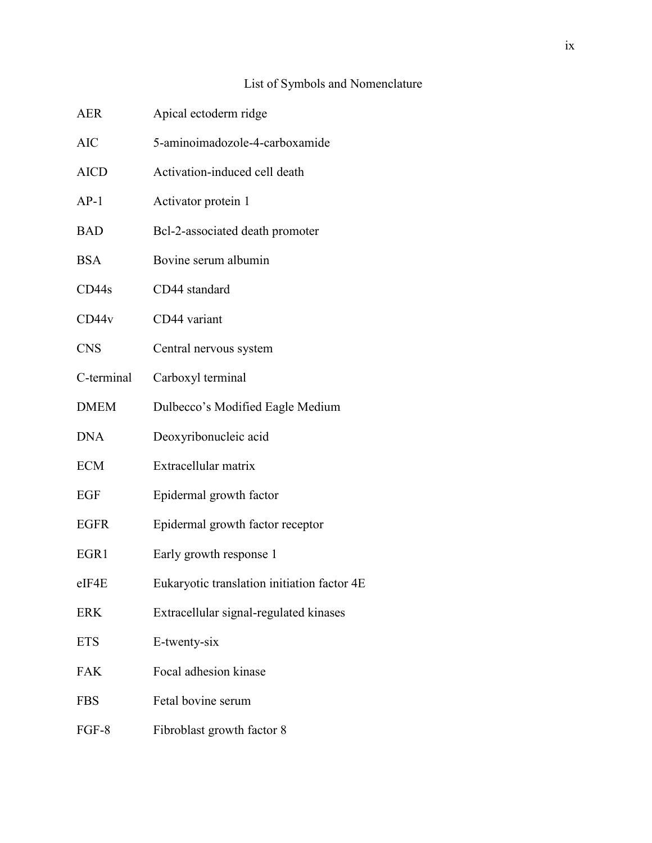## ix

# List of Symbols and Nomenclature

| <b>AER</b>  | Apical ectoderm ridge                       |
|-------------|---------------------------------------------|
| <b>AIC</b>  | 5-aminoimadozole-4-carboxamide              |
| <b>AICD</b> | Activation-induced cell death               |
| $AP-1$      | Activator protein 1                         |
| <b>BAD</b>  | Bcl-2-associated death promoter             |
| <b>BSA</b>  | Bovine serum albumin                        |
| CD44s       | CD44 standard                               |
| CD44v       | CD44 variant                                |
| <b>CNS</b>  | Central nervous system                      |
| C-terminal  | Carboxyl terminal                           |
| <b>DMEM</b> | Dulbecco's Modified Eagle Medium            |
| <b>DNA</b>  | Deoxyribonucleic acid                       |
| <b>ECM</b>  | Extracellular matrix                        |
| EGF         | Epidermal growth factor                     |
| <b>EGFR</b> | Epidermal growth factor receptor            |
| EGR1        | Early growth response 1                     |
| $e$ IF4E    | Eukaryotic translation initiation factor 4E |
| <b>ERK</b>  | Extracellular signal-regulated kinases      |
| <b>ETS</b>  | E-twenty-six                                |
| <b>FAK</b>  | Focal adhesion kinase                       |
| <b>FBS</b>  | Fetal bovine serum                          |
| FGF-8       | Fibroblast growth factor 8                  |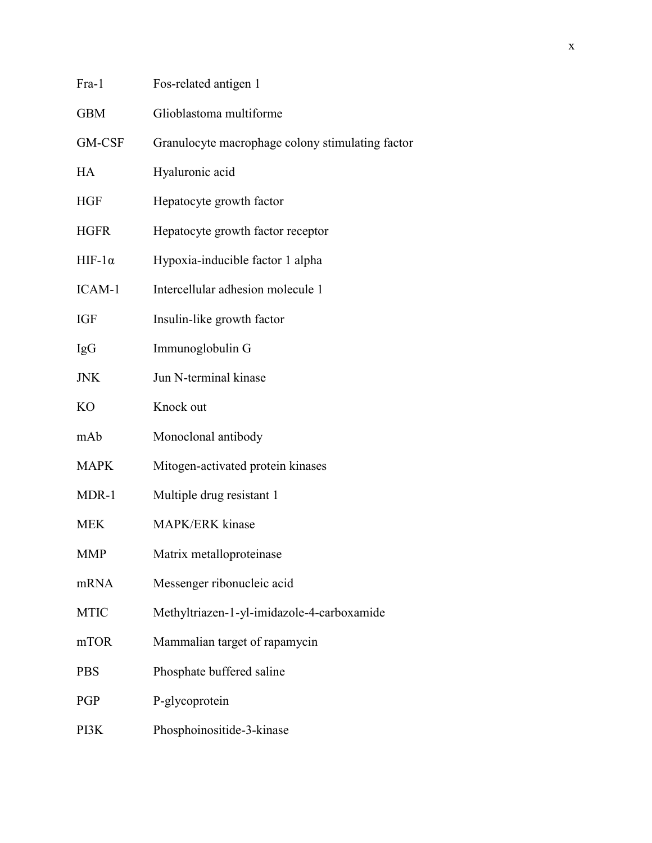| Fos-related antigen 1                            |
|--------------------------------------------------|
| Glioblastoma multiforme                          |
| Granulocyte macrophage colony stimulating factor |
| Hyaluronic acid                                  |
| Hepatocyte growth factor                         |
| Hepatocyte growth factor receptor                |
| Hypoxia-inducible factor 1 alpha                 |
| Intercellular adhesion molecule 1                |
| Insulin-like growth factor                       |
| Immunoglobulin G                                 |
| Jun N-terminal kinase                            |
| Knock out                                        |
| Monoclonal antibody                              |
| Mitogen-activated protein kinases                |
| Multiple drug resistant 1                        |
| MAPK/ERK kinase                                  |
| Matrix metalloproteinase                         |
| Messenger ribonucleic acid                       |
| Methyltriazen-1-yl-imidazole-4-carboxamide       |
| Mammalian target of rapamycin                    |
| Phosphate buffered saline                        |
| P-glycoprotein                                   |
| Phosphoinositide-3-kinase                        |
|                                                  |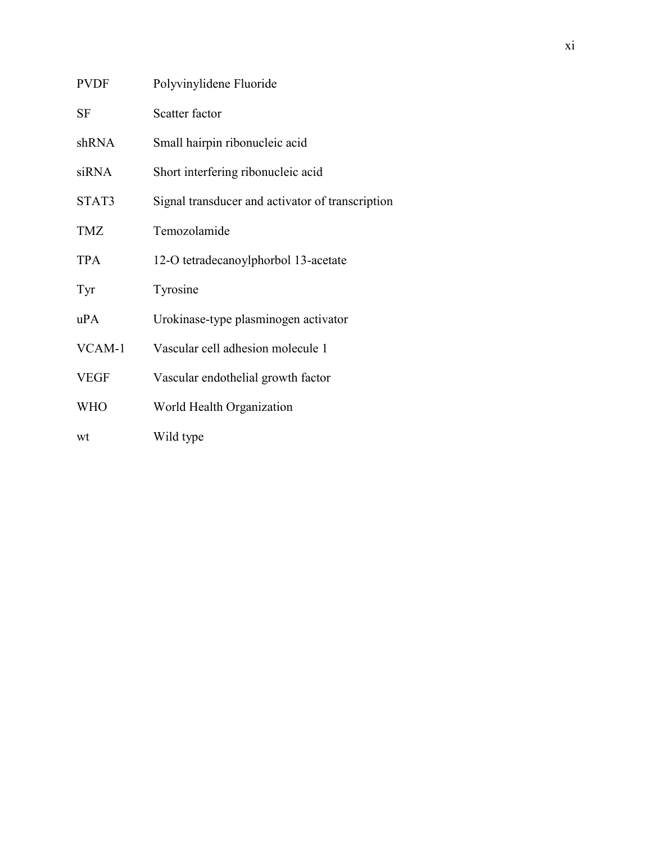| <b>PVDF</b> | Polyvinylidene Fluoride                          |
|-------------|--------------------------------------------------|
| <b>SF</b>   | Scatter factor                                   |
| shRNA       | Small hairpin ribonucleic acid                   |
| siRNA       | Short interfering ribonucleic acid               |
| STAT3       | Signal transducer and activator of transcription |
| TMZ         | Temozolamide                                     |
| <b>TPA</b>  | 12-O tetradecanoylphorbol 13-acetate             |
| Tyr         | Tyrosine                                         |
| uPA         | Urokinase-type plasminogen activator             |
| VCAM-1      | Vascular cell adhesion molecule 1                |
| <b>VEGF</b> | Vascular endothelial growth factor               |
| <b>WHO</b>  | World Health Organization                        |
| wt          | Wild type                                        |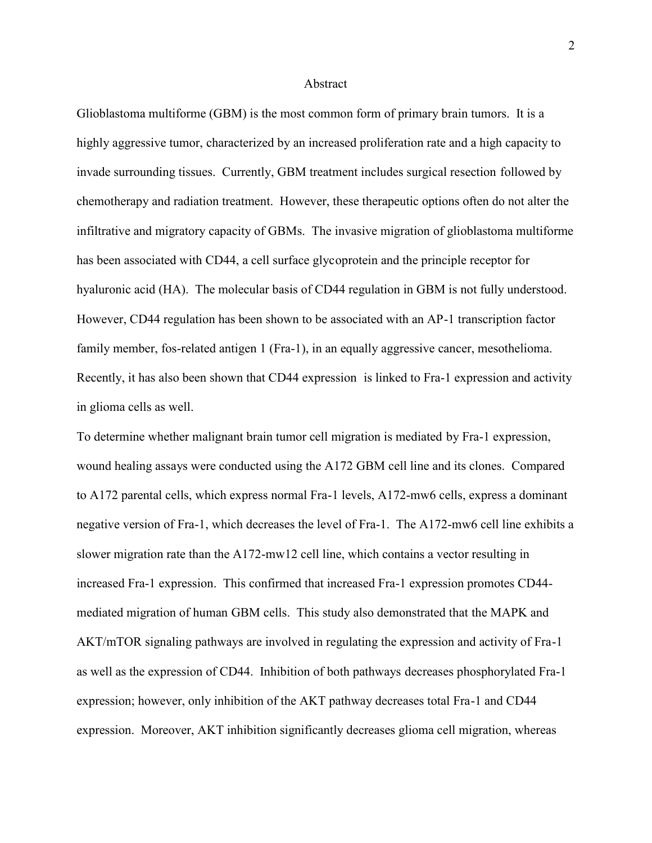#### Abstract

Glioblastoma multiforme (GBM) is the most common form of primary brain tumors. It is a highly aggressive tumor, characterized by an increased proliferation rate and a high capacity to invade surrounding tissues. Currently, GBM treatment includes surgical resection followed by chemotherapy and radiation treatment. However, these therapeutic options often do not alter the infiltrative and migratory capacity of GBMs. The invasive migration of glioblastoma multiforme has been associated with CD44, a cell surface glycoprotein and the principle receptor for hyaluronic acid (HA). The molecular basis of CD44 regulation in GBM is not fully understood. However, CD44 regulation has been shown to be associated with an AP-1 transcription factor family member, fos-related antigen 1 (Fra-1), in an equally aggressive cancer, mesothelioma. Recently, it has also been shown that CD44 expression is linked to Fra-1 expression and activity in glioma cells as well.

To determine whether malignant brain tumor cell migration is mediated by Fra-1 expression, wound healing assays were conducted using the A172 GBM cell line and its clones. Compared to A172 parental cells, which express normal Fra-1 levels, A172-mw6 cells, express a dominant negative version of Fra-1, which decreases the level of Fra-1. The A172-mw6 cell line exhibits a slower migration rate than the A172-mw12 cell line, which contains a vector resulting in increased Fra-1 expression. This confirmed that increased Fra-1 expression promotes CD44 mediated migration of human GBM cells. This study also demonstrated that the MAPK and AKT/mTOR signaling pathways are involved in regulating the expression and activity of Fra-1 as well as the expression of CD44. Inhibition of both pathways decreases phosphorylated Fra-1 expression; however, only inhibition of the AKT pathway decreases total Fra-1 and CD44 expression. Moreover, AKT inhibition significantly decreases glioma cell migration, whereas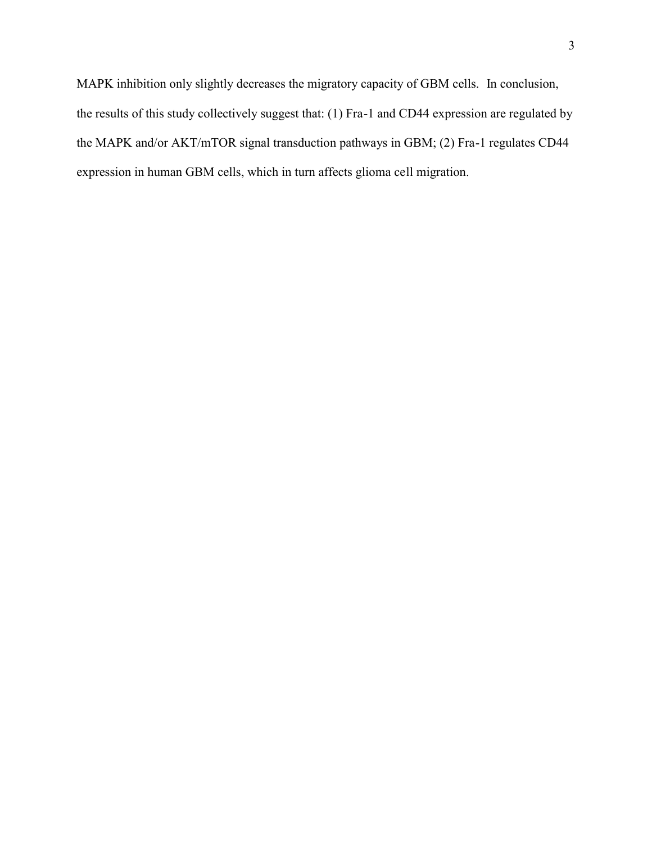MAPK inhibition only slightly decreases the migratory capacity of GBM cells. In conclusion, the results of this study collectively suggest that: (1) Fra-1 and CD44 expression are regulated by the MAPK and/or AKT/mTOR signal transduction pathways in GBM; (2) Fra-1 regulates CD44 expression in human GBM cells, which in turn affects glioma cell migration.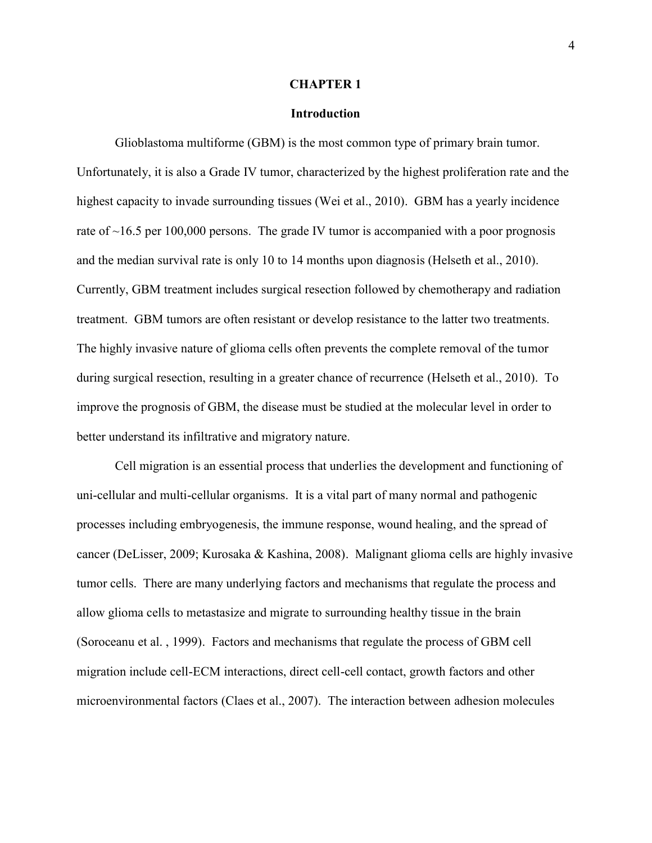#### **CHAPTER 1**

## **Introduction**

Glioblastoma multiforme (GBM) is the most common type of primary brain tumor. Unfortunately, it is also a Grade IV tumor, characterized by the highest proliferation rate and the highest capacity to invade surrounding tissues (Wei et al., 2010). GBM has a yearly incidence rate of ~16.5 per 100,000 persons. The grade IV tumor is accompanied with a poor prognosis and the median survival rate is only 10 to 14 months upon diagnosis (Helseth et al., 2010). Currently, GBM treatment includes surgical resection followed by chemotherapy and radiation treatment. GBM tumors are often resistant or develop resistance to the latter two treatments. The highly invasive nature of glioma cells often prevents the complete removal of the tumor during surgical resection, resulting in a greater chance of recurrence (Helseth et al., 2010). To improve the prognosis of GBM, the disease must be studied at the molecular level in order to better understand its infiltrative and migratory nature.

Cell migration is an essential process that underlies the development and functioning of uni-cellular and multi-cellular organisms. It is a vital part of many normal and pathogenic processes including embryogenesis, the immune response, wound healing, and the spread of cancer (DeLisser, 2009; Kurosaka & Kashina, 2008). Malignant glioma cells are highly invasive tumor cells. There are many underlying factors and mechanisms that regulate the process and allow glioma cells to metastasize and migrate to surrounding healthy tissue in the brain (Soroceanu et al. , 1999). Factors and mechanisms that regulate the process of GBM cell migration include cell-ECM interactions, direct cell-cell contact, growth factors and other microenvironmental factors (Claes et al., 2007). The interaction between adhesion molecules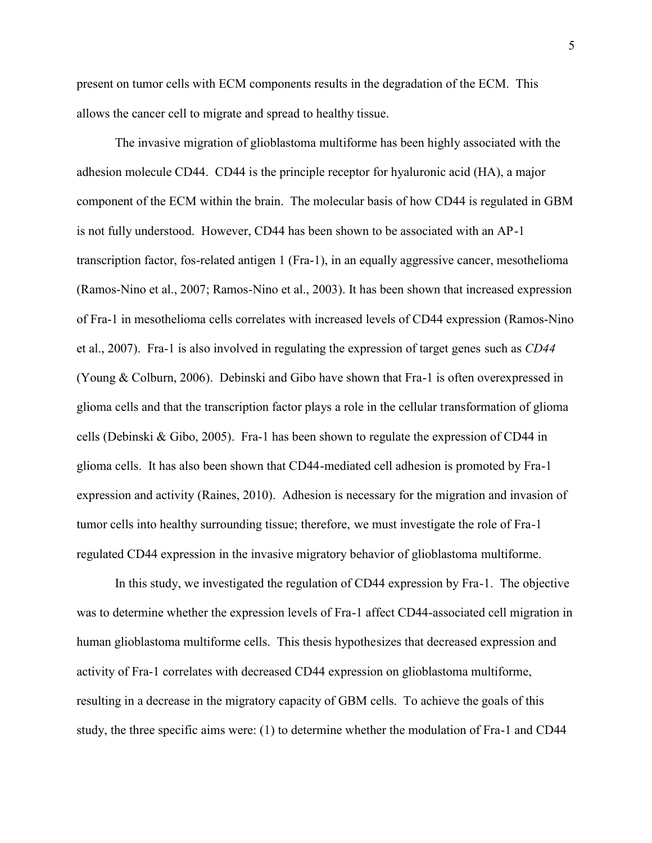present on tumor cells with ECM components results in the degradation of the ECM. This allows the cancer cell to migrate and spread to healthy tissue.

The invasive migration of glioblastoma multiforme has been highly associated with the adhesion molecule CD44. CD44 is the principle receptor for hyaluronic acid (HA), a major component of the ECM within the brain. The molecular basis of how CD44 is regulated in GBM is not fully understood. However, CD44 has been shown to be associated with an AP-1 transcription factor, fos-related antigen 1 (Fra-1), in an equally aggressive cancer, mesothelioma (Ramos-Nino et al., 2007; Ramos-Nino et al., 2003). It has been shown that increased expression of Fra-1 in mesothelioma cells correlates with increased levels of CD44 expression (Ramos-Nino et al., 2007). Fra-1 is also involved in regulating the expression of target genes such as *CD44* (Young & Colburn, 2006). Debinski and Gibo have shown that Fra-1 is often overexpressed in glioma cells and that the transcription factor plays a role in the cellular transformation of glioma cells (Debinski & Gibo, 2005). Fra-1 has been shown to regulate the expression of CD44 in glioma cells. It has also been shown that CD44-mediated cell adhesion is promoted by Fra-1 expression and activity (Raines, 2010). Adhesion is necessary for the migration and invasion of tumor cells into healthy surrounding tissue; therefore, we must investigate the role of Fra-1 regulated CD44 expression in the invasive migratory behavior of glioblastoma multiforme.

In this study, we investigated the regulation of CD44 expression by Fra-1. The objective was to determine whether the expression levels of Fra-1 affect CD44-associated cell migration in human glioblastoma multiforme cells. This thesis hypothesizes that decreased expression and activity of Fra-1 correlates with decreased CD44 expression on glioblastoma multiforme, resulting in a decrease in the migratory capacity of GBM cells. To achieve the goals of this study, the three specific aims were: (1) to determine whether the modulation of Fra-1 and CD44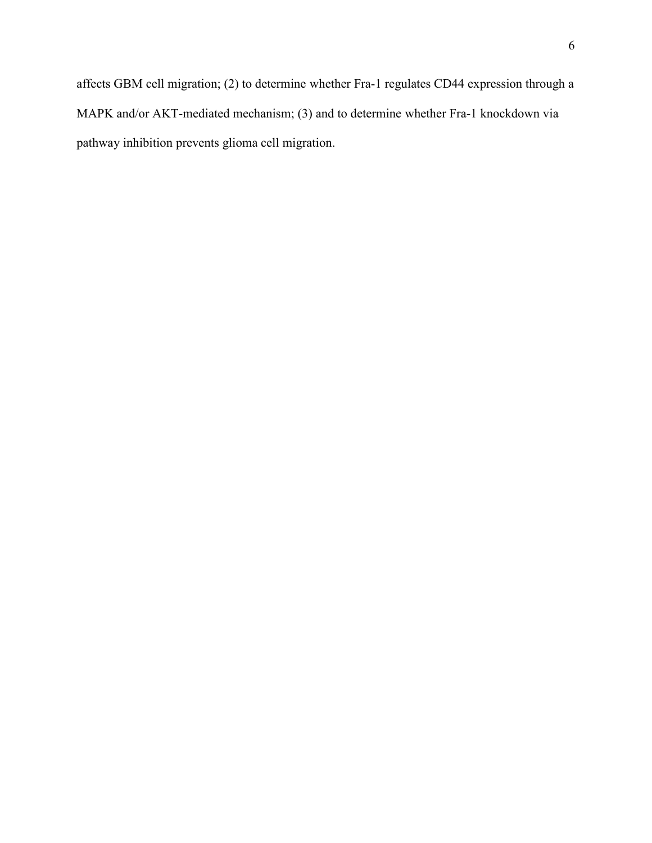affects GBM cell migration; (2) to determine whether Fra-1 regulates CD44 expression through a MAPK and/or AKT-mediated mechanism; (3) and to determine whether Fra-1 knockdown via pathway inhibition prevents glioma cell migration.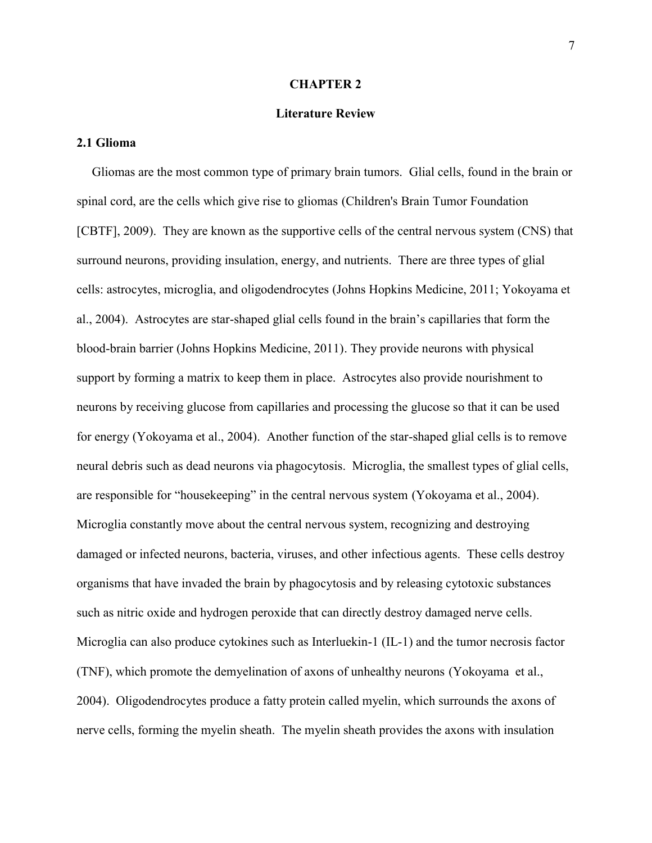#### **CHAPTER 2**

## **Literature Review**

## **2.1 Glioma**

Gliomas are the most common type of primary brain tumors. Glial cells, found in the brain or spinal cord, are the cells which give rise to gliomas (Children's Brain Tumor Foundation [CBTF], 2009). They are known as the supportive cells of the central nervous system (CNS) that surround neurons, providing insulation, energy, and nutrients. There are three types of glial cells: astrocytes, microglia, and oligodendrocytes (Johns Hopkins Medicine, 2011; Yokoyama et al., 2004). Astrocytes are star-shaped glial cells found in the brain's capillaries that form the blood-brain barrier (Johns Hopkins Medicine, 2011). They provide neurons with physical support by forming a matrix to keep them in place. Astrocytes also provide nourishment to neurons by receiving glucose from capillaries and processing the glucose so that it can be used for energy (Yokoyama et al., 2004). Another function of the star-shaped glial cells is to remove neural debris such as dead neurons via phagocytosis. Microglia, the smallest types of glial cells, are responsible for "housekeeping" in the central nervous system (Yokoyama et al., 2004). Microglia constantly move about the central nervous system, recognizing and destroying damaged or infected neurons, bacteria, viruses, and other infectious agents. These cells destroy organisms that have invaded the brain by phagocytosis and by releasing cytotoxic substances such as nitric oxide and hydrogen peroxide that can directly destroy damaged nerve cells. Microglia can also produce cytokines such as Interluekin-1 (IL-1) and the tumor necrosis factor (TNF), which promote the demyelination of axons of unhealthy neurons (Yokoyama et al., 2004). Oligodendrocytes produce a fatty protein called myelin, which surrounds the axons of nerve cells, forming the myelin sheath. The myelin sheath provides the axons with insulation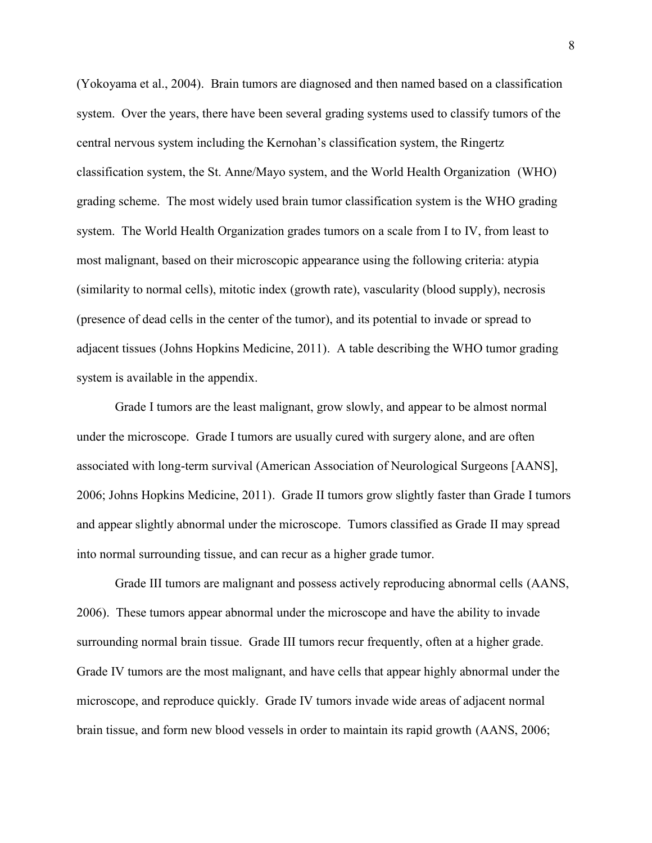(Yokoyama et al., 2004). Brain tumors are diagnosed and then named based on a classification system. Over the years, there have been several grading systems used to classify tumors of the central nervous system including the Kernohan's classification system, the Ringertz classification system, the St. Anne/Mayo system, and the World Health Organization (WHO) grading scheme. The most widely used brain tumor classification system is the WHO grading system. The World Health Organization grades tumors on a scale from I to IV, from least to most malignant, based on their microscopic appearance using the following criteria: atypia (similarity to normal cells), mitotic index (growth rate), vascularity (blood supply), necrosis (presence of dead cells in the center of the tumor), and its potential to invade or spread to adjacent tissues (Johns Hopkins Medicine, 2011). A table describing the WHO tumor grading system is available in the appendix.

Grade I tumors are the least malignant, grow slowly, and appear to be almost normal under the microscope. Grade I tumors are usually cured with surgery alone, and are often associated with long-term survival (American Association of Neurological Surgeons [AANS], 2006; Johns Hopkins Medicine, 2011). Grade II tumors grow slightly faster than Grade I tumors and appear slightly abnormal under the microscope. Tumors classified as Grade II may spread into normal surrounding tissue, and can recur as a higher grade tumor.

Grade III tumors are malignant and possess actively reproducing abnormal cells (AANS, 2006). These tumors appear abnormal under the microscope and have the ability to invade surrounding normal brain tissue. Grade III tumors recur frequently, often at a higher grade. Grade IV tumors are the most malignant, and have cells that appear highly abnormal under the microscope, and reproduce quickly. Grade IV tumors invade wide areas of adjacent normal brain tissue, and form new blood vessels in order to maintain its rapid growth (AANS, 2006;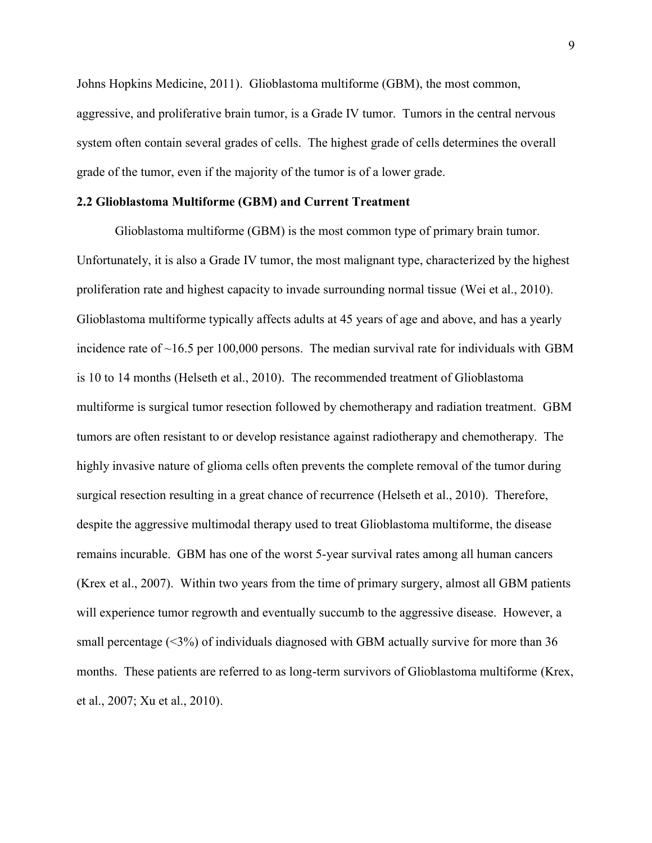Johns Hopkins Medicine, 2011). Glioblastoma multiforme (GBM), the most common, aggressive, and proliferative brain tumor, is a Grade IV tumor. Tumors in the central nervous system often contain several grades of cells. The highest grade of cells determines the overall grade of the tumor, even if the majority of the tumor is of a lower grade.

## **2.2 Glioblastoma Multiforme (GBM) and Current Treatment**

Glioblastoma multiforme (GBM) is the most common type of primary brain tumor. Unfortunately, it is also a Grade IV tumor, the most malignant type, characterized by the highest proliferation rate and highest capacity to invade surrounding normal tissue (Wei et al., 2010). Glioblastoma multiforme typically affects adults at 45 years of age and above, and has a yearly incidence rate of  $~16.5$  per 100,000 persons. The median survival rate for individuals with GBM is 10 to 14 months (Helseth et al., 2010). The recommended treatment of Glioblastoma multiforme is surgical tumor resection followed by chemotherapy and radiation treatment. GBM tumors are often resistant to or develop resistance against radiotherapy and chemotherapy. The highly invasive nature of glioma cells often prevents the complete removal of the tumor during surgical resection resulting in a great chance of recurrence (Helseth et al., 2010). Therefore, despite the aggressive multimodal therapy used to treat Glioblastoma multiforme, the disease remains incurable. GBM has one of the worst 5-year survival rates among all human cancers (Krex et al., 2007). Within two years from the time of primary surgery, almost all GBM patients will experience tumor regrowth and eventually succumb to the aggressive disease. However, a small percentage  $(\leq 3\%)$  of individuals diagnosed with GBM actually survive for more than 36 months. These patients are referred to as long-term survivors of Glioblastoma multiforme (Krex, et al., 2007; Xu et al., 2010).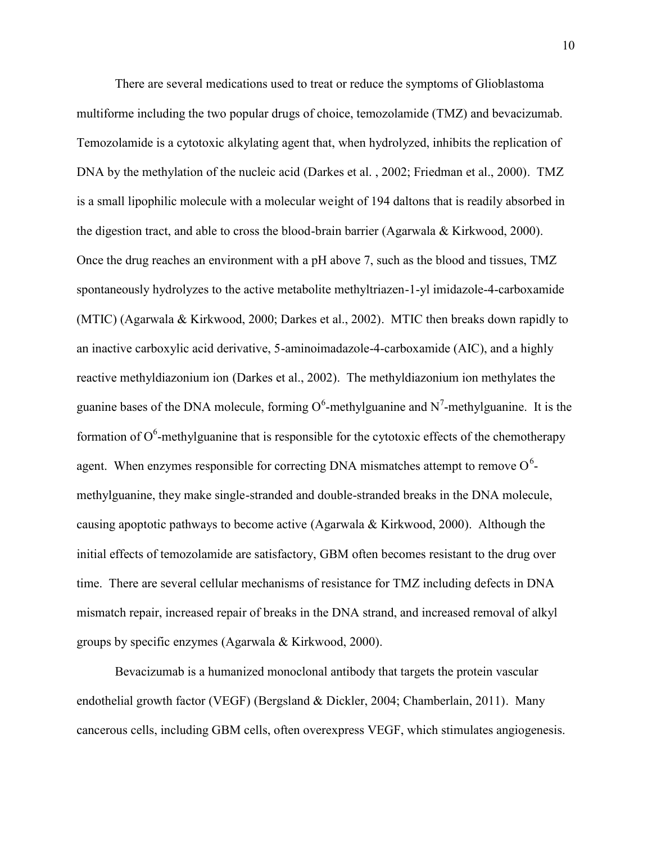There are several medications used to treat or reduce the symptoms of Glioblastoma multiforme including the two popular drugs of choice, temozolamide (TMZ) and bevacizumab. Temozolamide is a cytotoxic alkylating agent that, when hydrolyzed, inhibits the replication of DNA by the methylation of the nucleic acid (Darkes et al., 2002; Friedman et al., 2000). TMZ is a small lipophilic molecule with a molecular weight of 194 daltons that is readily absorbed in the digestion tract, and able to cross the blood-brain barrier (Agarwala & Kirkwood, 2000). Once the drug reaches an environment with a pH above 7, such as the blood and tissues, TMZ spontaneously hydrolyzes to the active metabolite methyltriazen-1-yl imidazole-4-carboxamide (MTIC) (Agarwala & Kirkwood, 2000; Darkes et al., 2002). MTIC then breaks down rapidly to an inactive carboxylic acid derivative, 5-aminoimadazole-4-carboxamide (AIC), and a highly reactive methyldiazonium ion (Darkes et al., 2002). The methyldiazonium ion methylates the guanine bases of the DNA molecule, forming  $O^6$ -methylguanine and N<sup>7</sup>-methylguanine. It is the formation of  $O^6$ -methylguanine that is responsible for the cytotoxic effects of the chemotherapy agent. When enzymes responsible for correcting DNA mismatches attempt to remove  $O^6$ methylguanine, they make single-stranded and double-stranded breaks in the DNA molecule, causing apoptotic pathways to become active (Agarwala & Kirkwood, 2000). Although the initial effects of temozolamide are satisfactory, GBM often becomes resistant to the drug over time. There are several cellular mechanisms of resistance for TMZ including defects in DNA mismatch repair, increased repair of breaks in the DNA strand, and increased removal of alkyl groups by specific enzymes (Agarwala & Kirkwood, 2000).

Bevacizumab is a humanized monoclonal antibody that targets the protein vascular endothelial growth factor (VEGF) (Bergsland & Dickler, 2004; Chamberlain, 2011). Many cancerous cells, including GBM cells, often overexpress VEGF, which stimulates angiogenesis.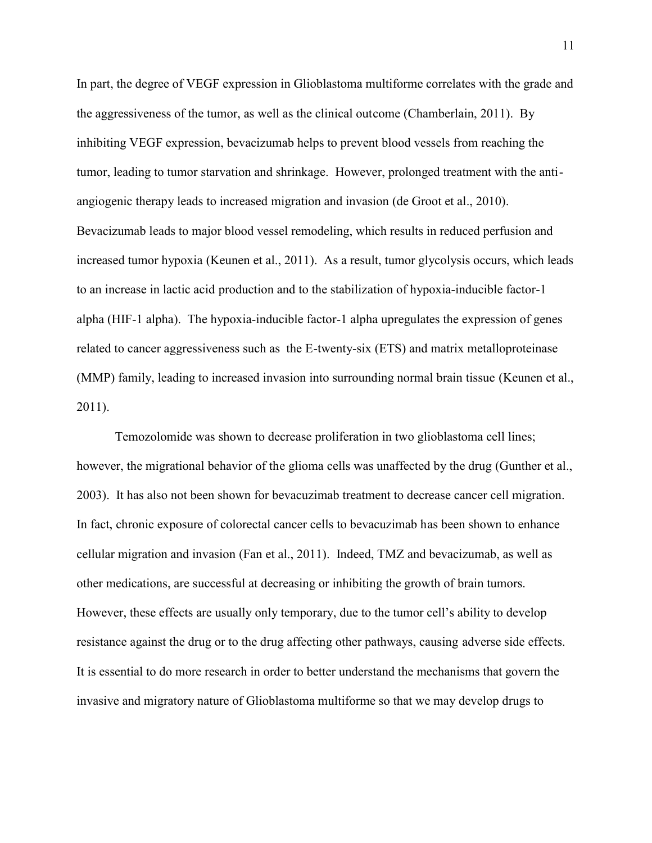In part, the degree of VEGF expression in Glioblastoma multiforme correlates with the grade and the aggressiveness of the tumor, as well as the clinical outcome (Chamberlain, 2011). By inhibiting VEGF expression, bevacizumab helps to prevent blood vessels from reaching the tumor, leading to tumor starvation and shrinkage. However, prolonged treatment with the anti angiogenic therapy leads to increased migration and invasion (de Groot et al., 2010). Bevacizumab leads to major blood vessel remodeling, which results in reduced perfusion and increased tumor hypoxia (Keunen et al., 2011). As a result, tumor glycolysis occurs, which leads to an increase in lactic acid production and to the stabilization of hypoxia-inducible factor-1 alpha (HIF-1 alpha). The hypoxia-inducible factor-1 alpha upregulates the expression of genes related to cancer aggressiveness such as the E-twenty-six (ETS) and matrix metalloproteinase (MMP) family, leading to increased invasion into surrounding normal brain tissue (Keunen et al., 2011).

Temozolomide was shown to decrease proliferation in two glioblastoma cell lines; however, the migrational behavior of the glioma cells was unaffected by the drug (Gunther et al., 2003). It has also not been shown for bevacuzimab treatment to decrease cancer cell migration. In fact, chronic exposure of colorectal cancer cells to bevacuzimab has been shown to enhance cellular migration and invasion (Fan et al., 2011). Indeed, TMZ and bevacizumab, as well as other medications, are successful at decreasing or inhibiting the growth of brain tumors. However, these effects are usually only temporary, due to the tumor cell's ability to develop resistance against the drug or to the drug affecting other pathways, causing adverse side effects. It is essential to do more research in order to better understand the mechanisms that govern the invasive and migratory nature of Glioblastoma multiforme so that we may develop drugs to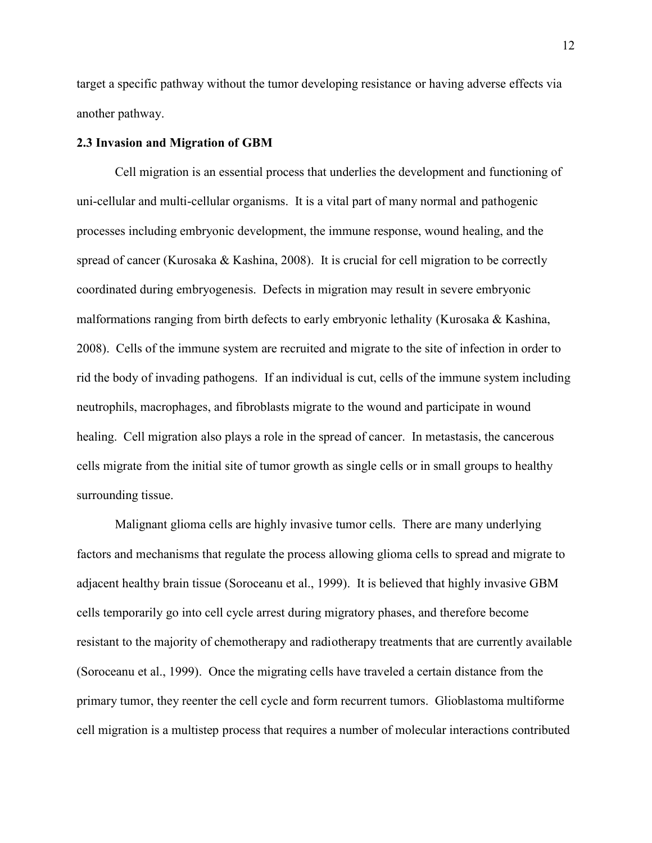target a specific pathway without the tumor developing resistance or having adverse effects via another pathway.

## **2.3 Invasion and Migration of GBM**

Cell migration is an essential process that underlies the development and functioning of uni-cellular and multi-cellular organisms. It is a vital part of many normal and pathogenic processes including embryonic development, the immune response, wound healing, and the spread of cancer (Kurosaka & Kashina, 2008). It is crucial for cell migration to be correctly coordinated during embryogenesis. Defects in migration may result in severe embryonic malformations ranging from birth defects to early embryonic lethality (Kurosaka & Kashina, 2008). Cells of the immune system are recruited and migrate to the site of infection in order to rid the body of invading pathogens. If an individual is cut, cells of the immune system including neutrophils, macrophages, and fibroblasts migrate to the wound and participate in wound healing. Cell migration also plays a role in the spread of cancer. In metastasis, the cancerous cells migrate from the initial site of tumor growth as single cells or in small groups to healthy surrounding tissue.

Malignant glioma cells are highly invasive tumor cells. There are many underlying factors and mechanisms that regulate the process allowing glioma cells to spread and migrate to adjacent healthy brain tissue (Soroceanu et al., 1999). It is believed that highly invasive GBM cells temporarily go into cell cycle arrest during migratory phases, and therefore become resistant to the majority of chemotherapy and radiotherapy treatments that are currently available (Soroceanu et al., 1999). Once the migrating cells have traveled a certain distance from the primary tumor, they reenter the cell cycle and form recurrent tumors. Glioblastoma multiforme cell migration is a multistep process that requires a number of molecular interactions contributed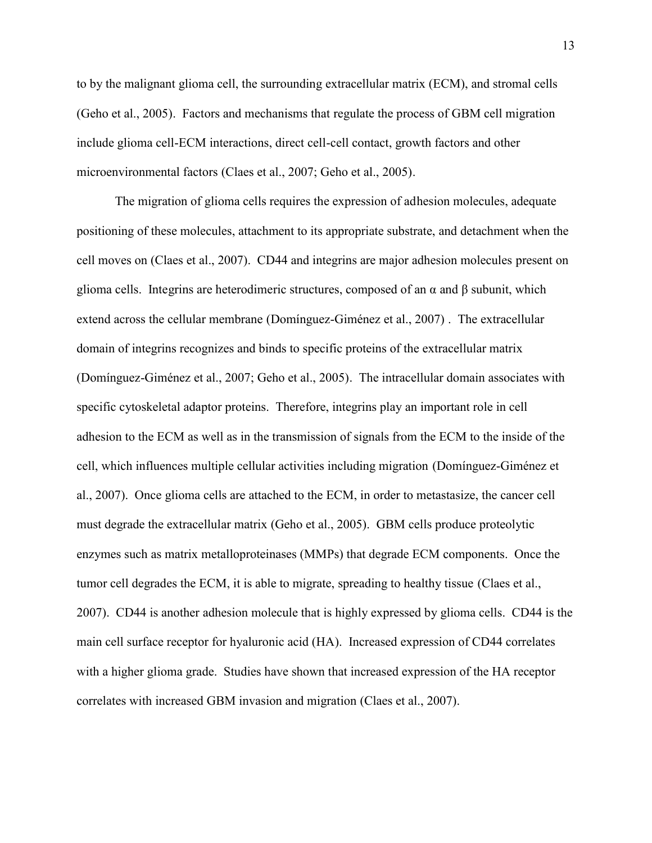to by the malignant glioma cell, the surrounding extracellular matrix (ECM), and stromal cells (Geho et al., 2005). Factors and mechanisms that regulate the process of GBM cell migration include glioma cell-ECM interactions, direct cell-cell contact, growth factors and other microenvironmental factors (Claes et al., 2007; Geho et al., 2005).

The migration of glioma cells requires the expression of adhesion molecules, adequate positioning of these molecules, attachment to its appropriate substrate, and detachment when the cell moves on (Claes et al., 2007). CD44 and integrins are major adhesion molecules present on glioma cells. Integrins are heterodimeric structures, composed of an α and β subunit, which extend across the cellular membrane (Domínguez-Giménez et al., 2007) . The extracellular domain of integrins recognizes and binds to specific proteins of the extracellular matrix (Domínguez-Giménez et al., 2007; Geho et al., 2005). The intracellular domain associates with specific cytoskeletal adaptor proteins. Therefore, integrins play an important role in cell adhesion to the ECM as well as in the transmission of signals from the ECM to the inside of the cell, which influences multiple cellular activities including migration (Domínguez-Giménez et al., 2007). Once glioma cells are attached to the ECM, in order to metastasize, the cancer cell must degrade the extracellular matrix (Geho et al., 2005). GBM cells produce proteolytic enzymes such as matrix metalloproteinases (MMPs) that degrade ECM components. Once the tumor cell degrades the ECM, it is able to migrate, spreading to healthy tissue (Claes et al., 2007). CD44 is another adhesion molecule that is highly expressed by glioma cells. CD44 is the main cell surface receptor for hyaluronic acid (HA). Increased expression of CD44 correlates with a higher glioma grade. Studies have shown that increased expression of the HA receptor correlates with increased GBM invasion and migration (Claes et al., 2007).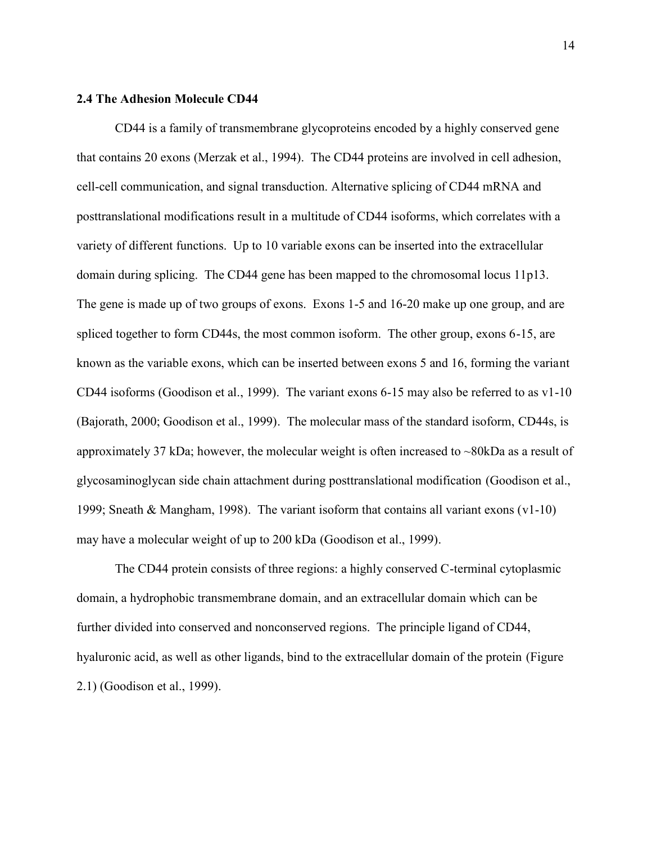### **2.4 The Adhesion Molecule CD44**

CD44 is a family of transmembrane glycoproteins encoded by a highly conserved gene that contains 20 exons (Merzak et al., 1994). The CD44 proteins are involved in cell adhesion, cell-cell communication, and signal transduction. Alternative splicing of CD44 mRNA and posttranslational modifications result in a multitude of CD44 isoforms, which correlates with a variety of different functions. Up to 10 variable exons can be inserted into the extracellular domain during splicing. The CD44 gene has been mapped to the chromosomal locus 11p13. The gene is made up of two groups of exons. Exons 1-5 and 16-20 make up one group, and are spliced together to form CD44s, the most common isoform. The other group, exons 6-15, are known as the variable exons, which can be inserted between exons 5 and 16, forming the variant CD44 isoforms (Goodison et al., 1999). The variant exons 6-15 may also be referred to as v1-10 (Bajorath, 2000; Goodison et al., 1999). The molecular mass of the standard isoform, CD44s, is approximately 37 kDa; however, the molecular weight is often increased to ~80kDa as a result of glycosaminoglycan side chain attachment during posttranslational modification (Goodison et al., 1999; Sneath & Mangham, 1998). The variant isoform that contains all variant exons (v1-10) may have a molecular weight of up to 200 kDa (Goodison et al., 1999).

The CD44 protein consists of three regions: a highly conserved C-terminal cytoplasmic domain, a hydrophobic transmembrane domain, and an extracellular domain which can be further divided into conserved and nonconserved regions. The principle ligand of CD44, hyaluronic acid, as well as other ligands, bind to the extracellular domain of the protein (Figure 2.1) (Goodison et al., 1999).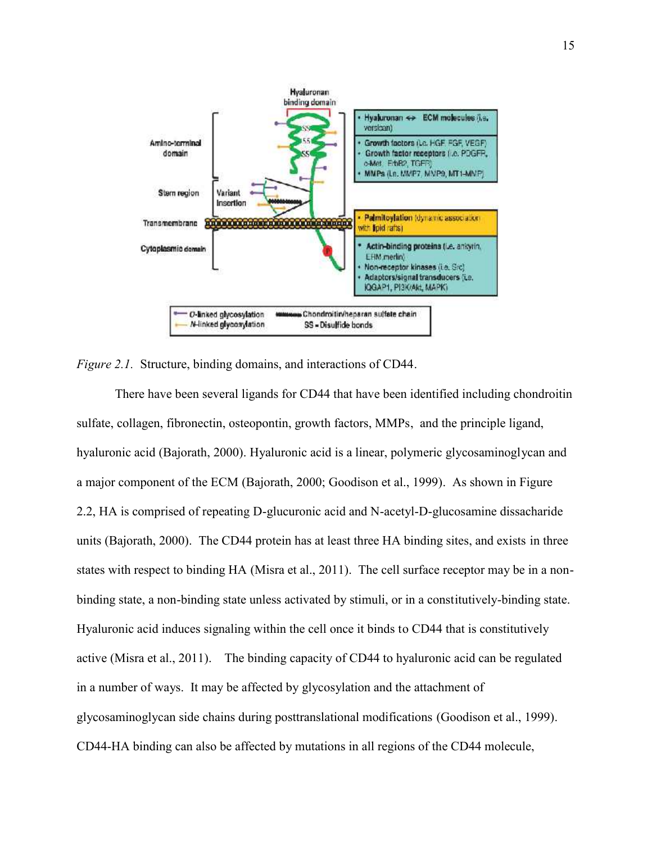

*Figure 2.1.* Structure, binding domains, and interactions of CD44.

There have been several ligands for CD44 that have been identified including chondroitin sulfate, collagen, fibronectin, osteopontin, growth factors, MMPs, and the principle ligand, hyaluronic acid (Bajorath, 2000). Hyaluronic acid is a linear, polymeric glycosaminoglycan and a major component of the ECM (Bajorath, 2000; Goodison et al., 1999). As shown in Figure 2.2, HA is comprised of repeating D-glucuronic acid and N-acetyl-D-glucosamine dissacharide units (Bajorath, 2000). The CD44 protein has at least three HA binding sites, and exists in three states with respect to binding HA (Misra et al., 2011). The cell surface receptor may be in a non binding state, a non-binding state unless activated by stimuli, or in a constitutively-binding state. Hyaluronic acid induces signaling within the cell once it binds to CD44 that is constitutively active (Misra et al., 2011). The binding capacity of CD44 to hyaluronic acid can be regulated in a number of ways. It may be affected by glycosylation and the attachment of glycosaminoglycan side chains during posttranslational modifications (Goodison et al., 1999). CD44-HA binding can also be affected by mutations in all regions of the CD44 molecule,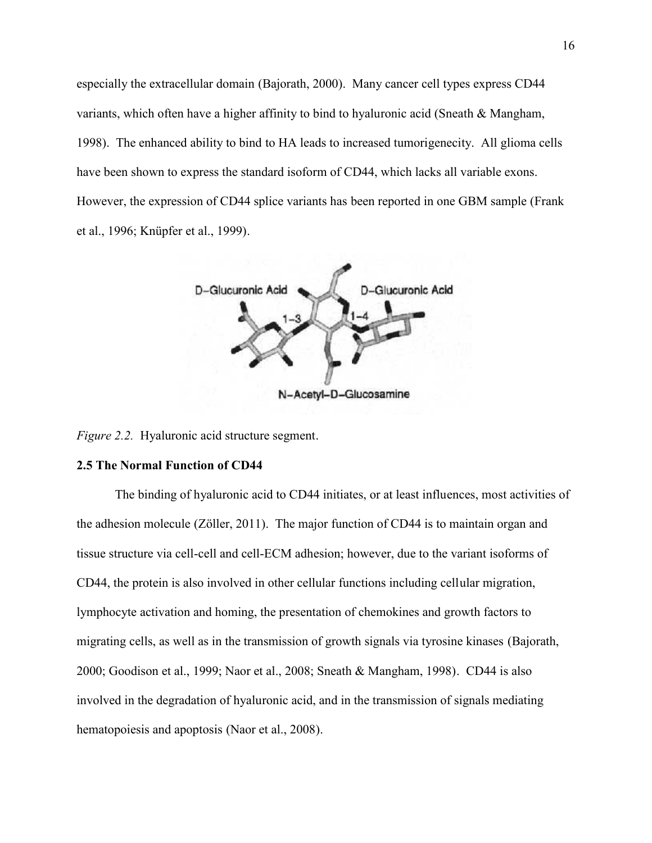especially the extracellular domain (Bajorath, 2000). Many cancer cell types express CD44 variants, which often have a higher affinity to bind to hyaluronic acid (Sneath & Mangham, 1998). The enhanced ability to bind to HA leads to increased tumorigenecity. All glioma cells have been shown to express the standard isoform of CD44, which lacks all variable exons. However, the expression of CD44 splice variants has been reported in one GBM sample (Frank et al., 1996; Knüpfer et al., 1999).



*Figure 2.2.* Hyaluronic acid structure segment.

## **2.5 The Normal Function of CD44**

The binding of hyaluronic acid to CD44 initiates, or at least influences, most activities of the adhesion molecule (Zöller, 2011). The major function of CD44 is to maintain organ and tissue structure via cell-cell and cell-ECM adhesion; however, due to the variant isoforms of CD44, the protein is also involved in other cellular functions including cellular migration, lymphocyte activation and homing, the presentation of chemokines and growth factors to migrating cells, as well as in the transmission of growth signals via tyrosine kinases (Bajorath, 2000; Goodison et al., 1999; Naor et al., 2008; Sneath & Mangham, 1998). CD44 is also involved in the degradation of hyaluronic acid, and in the transmission of signals mediating hematopoiesis and apoptosis (Naor et al., 2008).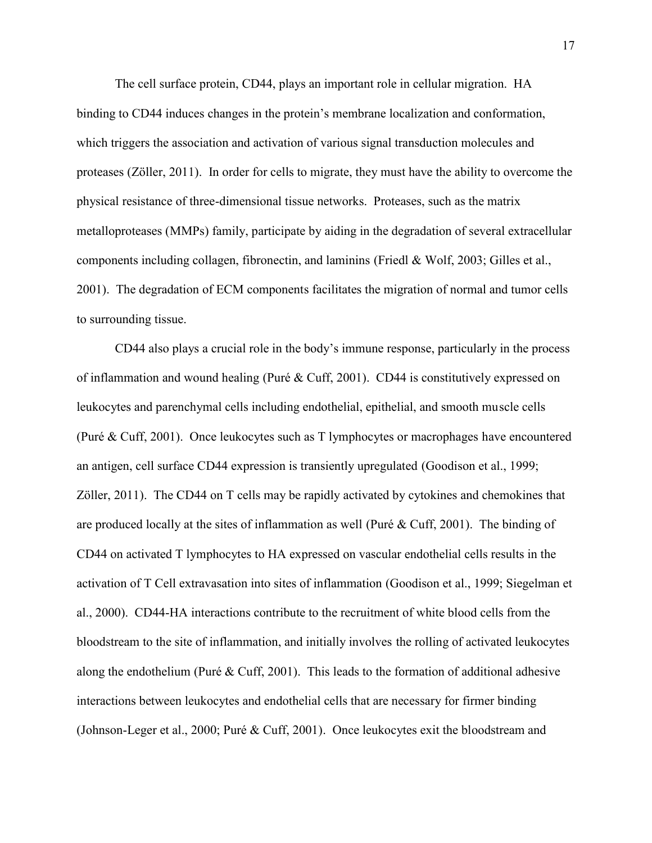The cell surface protein, CD44, plays an important role in cellular migration. HA binding to CD44 induces changes in the protein's membrane localization and conformation, which triggers the association and activation of various signal transduction molecules and proteases (Zöller, 2011). In order for cells to migrate, they must have the ability to overcome the physical resistance of three-dimensional tissue networks. Proteases, such as the matrix metalloproteases (MMPs) family, participate by aiding in the degradation of several extracellular components including collagen, fibronectin, and laminins (Friedl & Wolf, 2003; Gilles et al., 2001). The degradation of ECM components facilitates the migration of normal and tumor cells to surrounding tissue.

CD44 also plays a crucial role in the body's immune response, particularly in the process of inflammation and wound healing (Puré & Cuff, 2001). CD44 is constitutively expressed on leukocytes and parenchymal cells including endothelial, epithelial, and smooth muscle cells (Puré & Cuff, 2001). Once leukocytes such as T lymphocytes or macrophages have encountered an antigen, cell surface CD44 expression is transiently upregulated (Goodison et al., 1999; Zöller, 2011). The CD44 on T cells may be rapidly activated by cytokines and chemokines that are produced locally at the sites of inflammation as well (Puré & Cuff, 2001). The binding of CD44 on activated T lymphocytes to HA expressed on vascular endothelial cells results in the activation of T Cell extravasation into sites of inflammation (Goodison et al., 1999; Siegelman et al., 2000). CD44-HA interactions contribute to the recruitment of white blood cells from the bloodstream to the site of inflammation, and initially involves the rolling of activated leukocytes along the endothelium (Puré  $\&$  Cuff, 2001). This leads to the formation of additional adhesive interactions between leukocytes and endothelial cells that are necessary for firmer binding (Johnson-Leger et al., 2000; Puré & Cuff, 2001). Once leukocytes exit the bloodstream and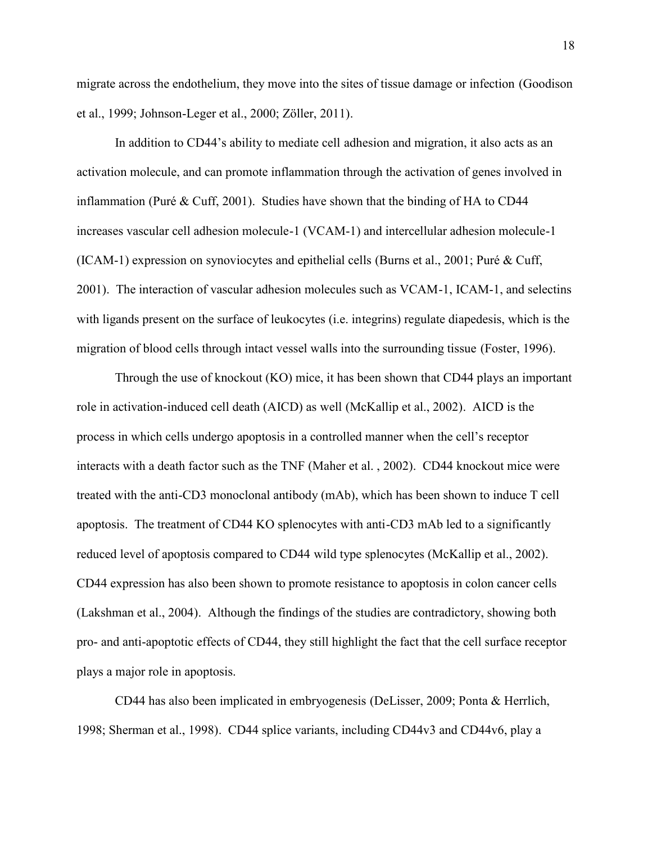migrate across the endothelium, they move into the sites of tissue damage or infection (Goodison et al., 1999; Johnson-Leger et al., 2000; Zöller, 2011).

In addition to CD44's ability to mediate cell adhesion and migration, it also acts as an activation molecule, and can promote inflammation through the activation of genes involved in inflammation (Puré & Cuff, 2001). Studies have shown that the binding of HA to CD44 increases vascular cell adhesion molecule-1 (VCAM-1) and intercellular adhesion molecule-1 (ICAM-1) expression on synoviocytes and epithelial cells (Burns et al., 2001; Puré & Cuff, 2001). The interaction of vascular adhesion molecules such as VCAM-1, ICAM-1, and selectins with ligands present on the surface of leukocytes (i.e. integrins) regulate diapedesis, which is the migration of blood cells through intact vessel walls into the surrounding tissue (Foster, 1996).

Through the use of knockout (KO) mice, it has been shown that CD44 plays an important role in activation-induced cell death (AICD) as well (McKallip et al., 2002). AICD is the process in which cells undergo apoptosis in a controlled manner when the cell's receptor interacts with a death factor such as the TNF (Maher et al. , 2002). CD44 knockout mice were treated with the anti-CD3 monoclonal antibody (mAb), which has been shown to induce T cell apoptosis. The treatment of CD44 KO splenocytes with anti-CD3 mAb led to a significantly reduced level of apoptosis compared to CD44 wild type splenocytes (McKallip et al., 2002). CD44 expression has also been shown to promote resistance to apoptosis in colon cancer cells (Lakshman et al., 2004). Although the findings of the studies are contradictory, showing both pro- and anti-apoptotic effects of CD44, they still highlight the fact that the cell surface receptor plays a major role in apoptosis.

CD44 has also been implicated in embryogenesis (DeLisser, 2009; Ponta & Herrlich, 1998; Sherman et al., 1998). CD44 splice variants, including CD44v3 and CD44v6, play a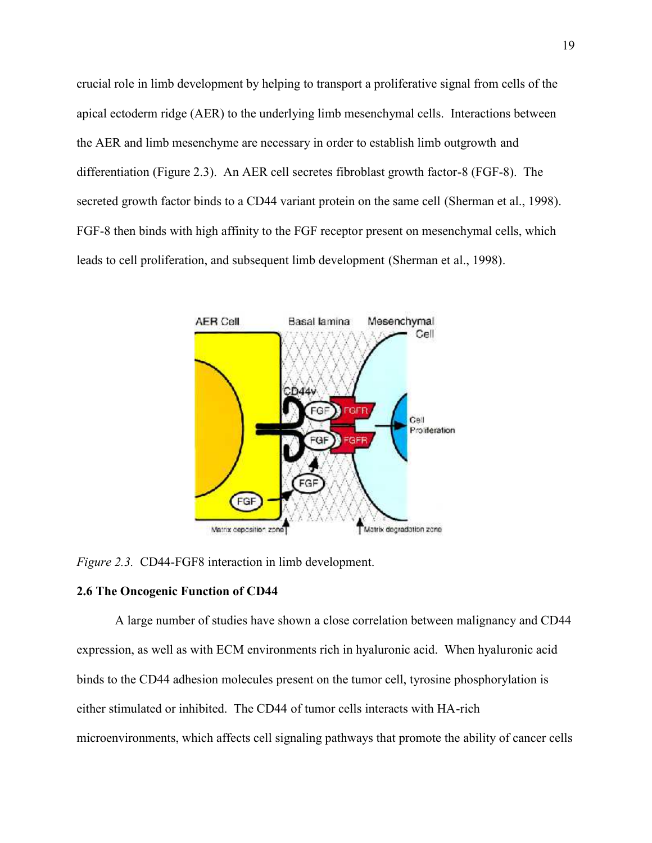crucial role in limb development by helping to transport a proliferative signal from cells of the apical ectoderm ridge (AER) to the underlying limb mesenchymal cells. Interactions between the AER and limb mesenchyme are necessary in order to establish limb outgrowth and differentiation (Figure 2.3). An AER cell secretes fibroblast growth factor-8 (FGF-8). The secreted growth factor binds to a CD44 variant protein on the same cell (Sherman et al., 1998). FGF-8 then binds with high affinity to the FGF receptor present on mesenchymal cells, which leads to cell proliferation, and subsequent limb development (Sherman et al., 1998).



*Figure 2.3.* CD44-FGF8 interaction in limb development.

## **2.6 The Oncogenic Function of CD44**

A large number of studies have shown a close correlation between malignancy and CD44 expression, as well as with ECM environments rich in hyaluronic acid. When hyaluronic acid binds to the CD44 adhesion molecules present on the tumor cell, tyrosine phosphorylation is either stimulated or inhibited. The CD44 of tumor cells interacts with HA-rich microenvironments, which affects cell signaling pathways that promote the ability of cancer cells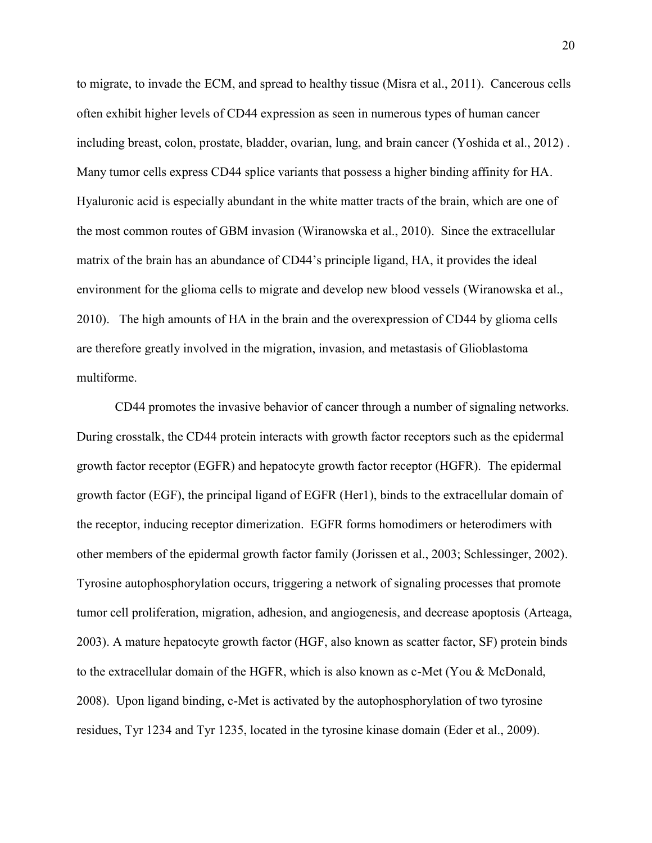to migrate, to invade the ECM, and spread to healthy tissue (Misra et al., 2011). Cancerous cells often exhibit higher levels of CD44 expression as seen in numerous types of human cancer including breast, colon, prostate, bladder, ovarian, lung, and brain cancer (Yoshida et al., 2012) . Many tumor cells express CD44 splice variants that possess a higher binding affinity for HA. Hyaluronic acid is especially abundant in the white matter tracts of the brain, which are one of the most common routes of GBM invasion (Wiranowska et al., 2010). Since the extracellular matrix of the brain has an abundance of CD44's principle ligand, HA, it provides the ideal environment for the glioma cells to migrate and develop new blood vessels (Wiranowska et al., 2010). The high amounts of HA in the brain and the overexpression of CD44 by glioma cells are therefore greatly involved in the migration, invasion, and metastasis of Glioblastoma multiforme.

CD44 promotes the invasive behavior of cancer through a number of signaling networks. During crosstalk, the CD44 protein interacts with growth factor receptors such as the epidermal growth factor receptor (EGFR) and hepatocyte growth factor receptor (HGFR). The epidermal growth factor (EGF), the principal ligand of EGFR (Her1), binds to the extracellular domain of the receptor, inducing receptor dimerization. EGFR forms homodimers or heterodimers with other members of the epidermal growth factor family (Jorissen et al., 2003; Schlessinger, 2002). Tyrosine autophosphorylation occurs, triggering a network of signaling processes that promote tumor cell proliferation, migration, adhesion, and angiogenesis, and decrease apoptosis (Arteaga, 2003). A mature hepatocyte growth factor (HGF, also known as scatter factor, SF) protein binds to the extracellular domain of the HGFR, which is also known as c-Met (You & McDonald, 2008). Upon ligand binding, c-Met is activated by the autophosphorylation of two tyrosine residues, Tyr 1234 and Tyr 1235, located in the tyrosine kinase domain (Eder et al., 2009).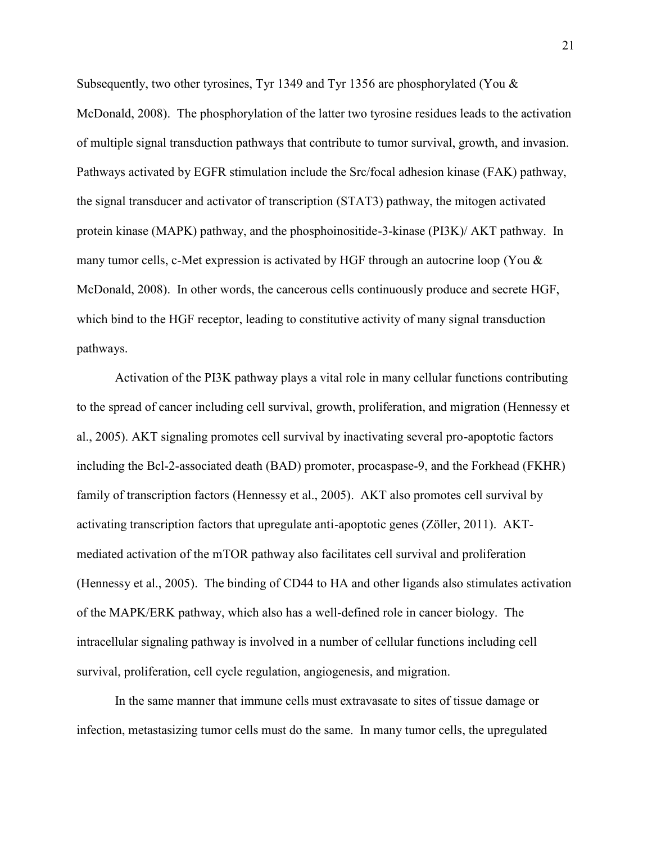Subsequently, two other tyrosines, Tyr 1349 and Tyr 1356 are phosphorylated (You & McDonald, 2008). The phosphorylation of the latter two tyrosine residues leads to the activation of multiple signal transduction pathways that contribute to tumor survival, growth, and invasion. Pathways activated by EGFR stimulation include the Src/focal adhesion kinase (FAK) pathway, the signal transducer and activator of transcription (STAT3) pathway, the mitogen activated protein kinase (MAPK) pathway, and the phosphoinositide-3-kinase (PI3K)/ AKT pathway. In many tumor cells, c-Met expression is activated by HGF through an autocrine loop (You & McDonald, 2008). In other words, the cancerous cells continuously produce and secrete HGF, which bind to the HGF receptor, leading to constitutive activity of many signal transduction pathways.

Activation of the PI3K pathway plays a vital role in many cellular functions contributing to the spread of cancer including cell survival, growth, proliferation, and migration (Hennessy et al., 2005). AKT signaling promotes cell survival by inactivating several pro-apoptotic factors including the Bcl-2-associated death (BAD) promoter, procaspase-9, and the Forkhead (FKHR) family of transcription factors (Hennessy et al., 2005). AKT also promotes cell survival by activating transcription factors that upregulate anti-apoptotic genes (Zöller, 2011). AKT mediated activation of the mTOR pathway also facilitates cell survival and proliferation (Hennessy et al., 2005). The binding of CD44 to HA and other ligands also stimulates activation of the MAPK/ERK pathway, which also has a well-defined role in cancer biology. The intracellular signaling pathway is involved in a number of cellular functions including cell survival, proliferation, cell cycle regulation, angiogenesis, and migration.

In the same manner that immune cells must extravasate to sites of tissue damage or infection, metastasizing tumor cells must do the same. In many tumor cells, the upregulated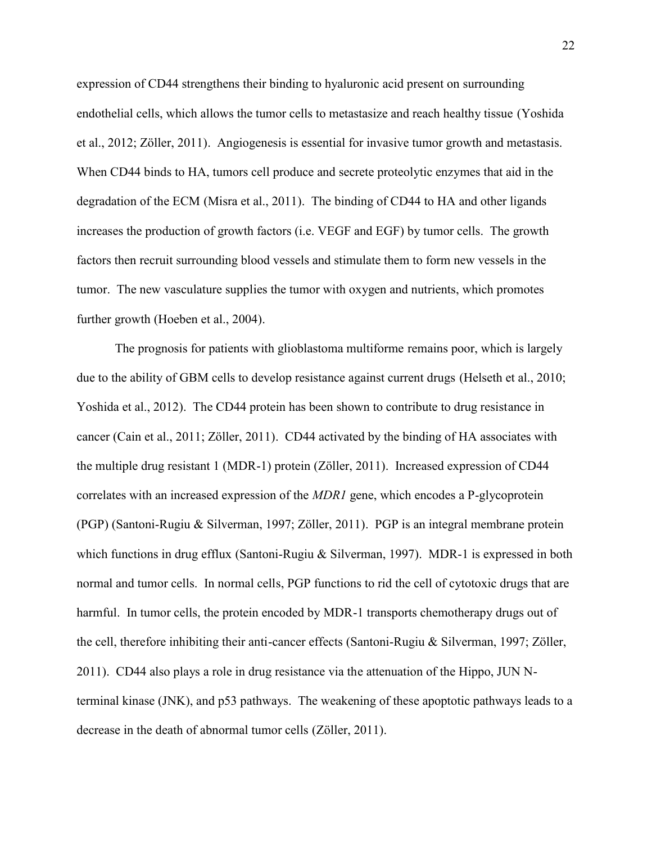expression of CD44 strengthens their binding to hyaluronic acid present on surrounding endothelial cells, which allows the tumor cells to metastasize and reach healthy tissue (Yoshida et al., 2012; Zöller, 2011). Angiogenesis is essential for invasive tumor growth and metastasis. When CD44 binds to HA, tumors cell produce and secrete proteolytic enzymes that aid in the degradation of the ECM (Misra et al., 2011). The binding of CD44 to HA and other ligands increases the production of growth factors (i.e. VEGF and EGF) by tumor cells. The growth factors then recruit surrounding blood vessels and stimulate them to form new vessels in the tumor. The new vasculature supplies the tumor with oxygen and nutrients, which promotes further growth (Hoeben et al., 2004).

The prognosis for patients with glioblastoma multiforme remains poor, which is largely due to the ability of GBM cells to develop resistance against current drugs (Helseth et al., 2010; Yoshida et al., 2012). The CD44 protein has been shown to contribute to drug resistance in cancer (Cain et al., 2011; Zöller, 2011). CD44 activated by the binding of HA associates with the multiple drug resistant 1 (MDR-1) protein (Zöller, 2011). Increased expression of CD44 correlates with an increased expression of the *MDR1* gene, which encodes a P-glycoprotein (PGP) (Santoni-Rugiu & Silverman, 1997; Zöller, 2011). PGP is an integral membrane protein which functions in drug efflux (Santoni-Rugiu & Silverman, 1997). MDR-1 is expressed in both normal and tumor cells. In normal cells, PGP functions to rid the cell of cytotoxic drugs that are harmful. In tumor cells, the protein encoded by MDR-1 transports chemotherapy drugs out of the cell, therefore inhibiting their anti-cancer effects (Santoni-Rugiu & Silverman, 1997; Zöller, 2011). CD44 also plays a role in drug resistance via the attenuation of the Hippo, JUN Nterminal kinase (JNK), and p53 pathways. The weakening of these apoptotic pathways leads to a decrease in the death of abnormal tumor cells (Zöller, 2011).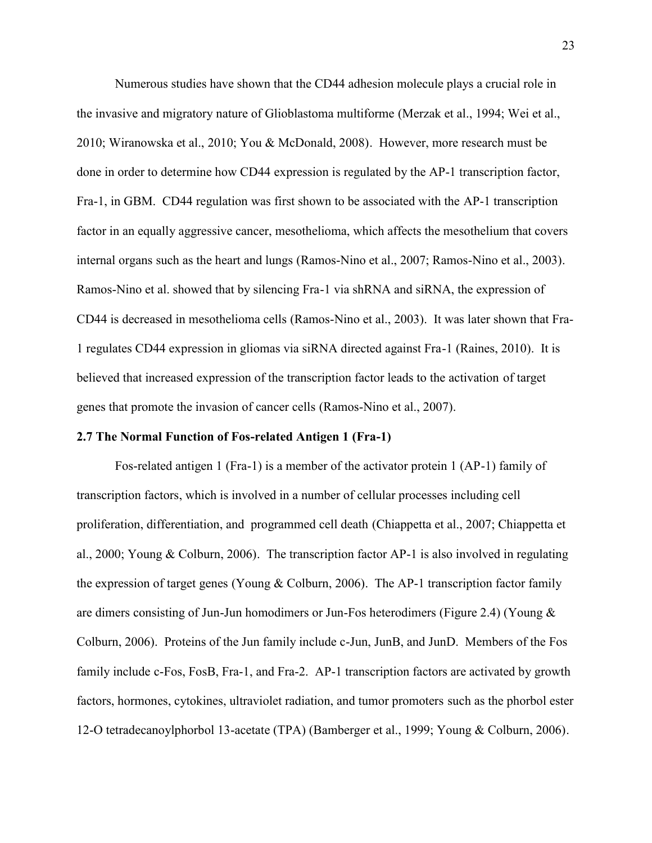Numerous studies have shown that the CD44 adhesion molecule plays a crucial role in the invasive and migratory nature of Glioblastoma multiforme (Merzak et al., 1994; Wei et al., 2010; Wiranowska et al., 2010; You & McDonald, 2008). However, more research must be done in order to determine how CD44 expression is regulated by the AP-1 transcription factor, Fra-1, in GBM. CD44 regulation was first shown to be associated with the AP-1 transcription factor in an equally aggressive cancer, mesothelioma, which affects the mesothelium that covers internal organs such as the heart and lungs (Ramos-Nino et al., 2007; Ramos-Nino et al., 2003). Ramos-Nino et al. showed that by silencing Fra-1 via shRNA and siRNA, the expression of CD44 is decreased in mesothelioma cells (Ramos-Nino et al., 2003). It was later shown that Fra- 1 regulates CD44 expression in gliomas via siRNA directed against Fra-1 (Raines, 2010). It is believed that increased expression of the transcription factor leads to the activation of target genes that promote the invasion of cancer cells (Ramos-Nino et al., 2007).

### **2.7 The Normal Function of Fos-related Antigen 1 (Fra-1)**

Fos-related antigen 1 (Fra-1) is a member of the activator protein 1 (AP-1) family of transcription factors, which is involved in a number of cellular processes including cell proliferation, differentiation, and programmed cell death (Chiappetta et al., 2007; Chiappetta et al., 2000; Young & Colburn, 2006). The transcription factor AP-1 is also involved in regulating the expression of target genes (Young & Colburn, 2006). The AP-1 transcription factor family are dimers consisting of Jun-Jun homodimers or Jun-Fos heterodimers (Figure 2.4) (Young & Colburn, 2006). Proteins of the Jun family include c-Jun, JunB, and JunD. Members of the Fos family include c-Fos, FosB, Fra-1, and Fra-2. AP-1 transcription factors are activated by growth factors, hormones, cytokines, ultraviolet radiation, and tumor promoters such as the phorbol ester 12-O tetradecanoylphorbol 13-acetate (TPA) (Bamberger et al., 1999; Young & Colburn, 2006).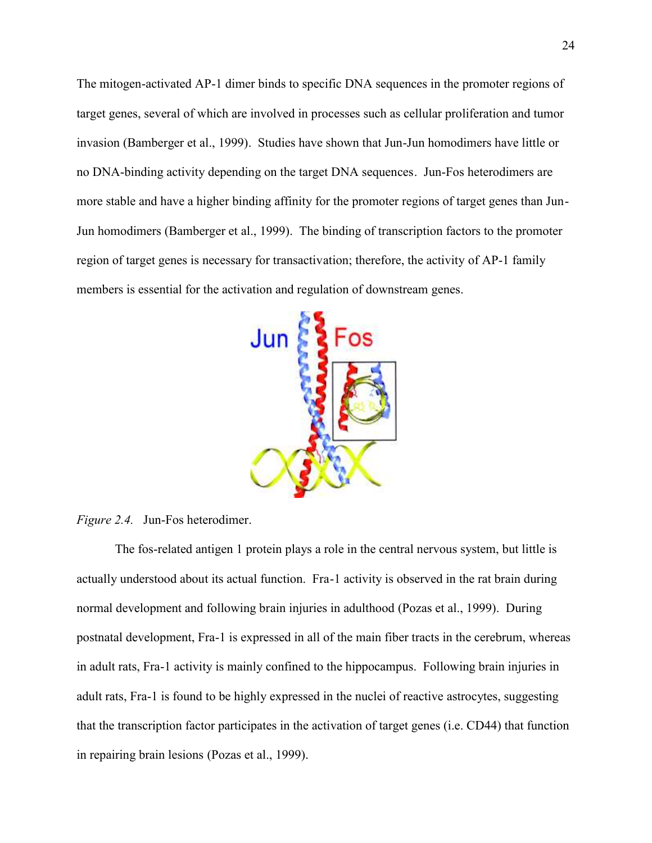The mitogen-activated AP-1 dimer binds to specific DNA sequences in the promoter regions of target genes, several of which are involved in processes such as cellular proliferation and tumor invasion (Bamberger et al., 1999). Studies have shown that Jun-Jun homodimers have little or no DNA-binding activity depending on the target DNA sequences. Jun-Fos heterodimers are more stable and have a higher binding affinity for the promoter regions of target genes than Jun- Jun homodimers (Bamberger et al., 1999). The binding of transcription factors to the promoter region of target genes is necessary for transactivation; therefore, the activity of AP-1 family members is essential for the activation and regulation of downstream genes.



*Figure 2.4.* Jun-Fos heterodimer.

The fos-related antigen 1 protein plays a role in the central nervous system, but little is actually understood about its actual function. Fra-1 activity is observed in the rat brain during normal development and following brain injuries in adulthood (Pozas et al., 1999). During postnatal development, Fra-1 is expressed in all of the main fiber tracts in the cerebrum, whereas in adult rats, Fra-1 activity is mainly confined to the hippocampus. Following brain injuries in adult rats, Fra-1 is found to be highly expressed in the nuclei of reactive astrocytes, suggesting that the transcription factor participates in the activation of target genes (i.e. CD44) that function in repairing brain lesions (Pozas et al., 1999).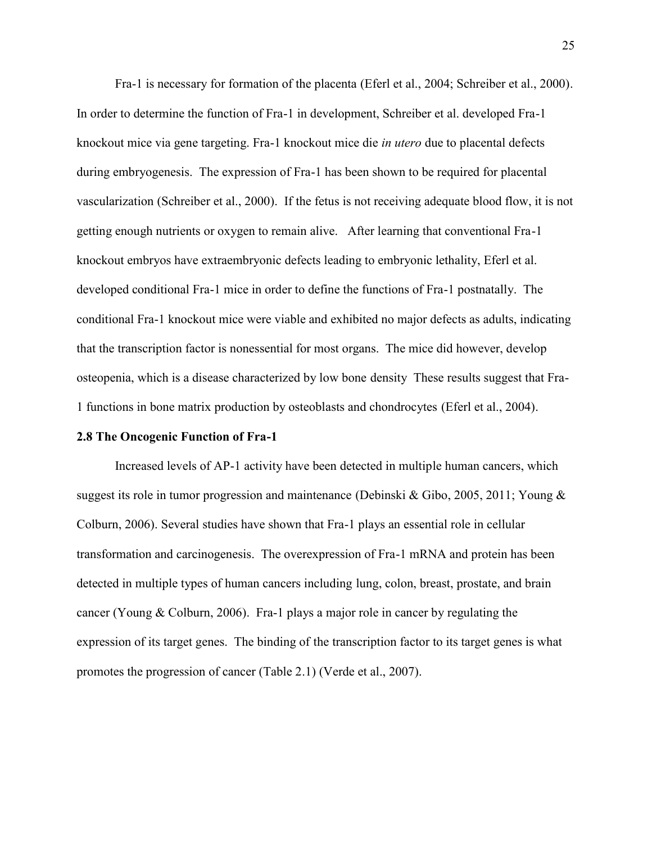Fra-1 is necessary for formation of the placenta (Eferl et al., 2004; Schreiber et al., 2000). In order to determine the function of Fra-1 in development, Schreiber et al. developed Fra-1 knockout mice via gene targeting. Fra-1 knockout mice die *in utero* due to placental defects during embryogenesis. The expression of Fra-1 has been shown to be required for placental vascularization (Schreiber et al., 2000). If the fetus is not receiving adequate blood flow, it is not getting enough nutrients or oxygen to remain alive. After learning that conventional Fra-1 knockout embryos have extraembryonic defects leading to embryonic lethality, Eferl et al. developed conditional Fra-1 mice in order to define the functions of Fra-1 postnatally. The conditional Fra-1 knockout mice were viable and exhibited no major defects as adults, indicating that the transcription factor is nonessential for most organs. The mice did however, develop osteopenia, which is a disease characterized by low bone density These results suggest that Fra- 1 functions in bone matrix production by osteoblasts and chondrocytes (Eferl et al., 2004).

### **2.8 The Oncogenic Function of Fra-1**

Increased levels of AP-1 activity have been detected in multiple human cancers, which suggest its role in tumor progression and maintenance (Debinski & Gibo, 2005, 2011; Young & Colburn, 2006). Several studies have shown that Fra-1 plays an essential role in cellular transformation and carcinogenesis. The overexpression of Fra-1 mRNA and protein has been detected in multiple types of human cancers including lung, colon, breast, prostate, and brain cancer (Young & Colburn, 2006). Fra-1 plays a major role in cancer by regulating the expression of its target genes. The binding of the transcription factor to its target genes is what promotes the progression of cancer (Table 2.1) (Verde et al., 2007).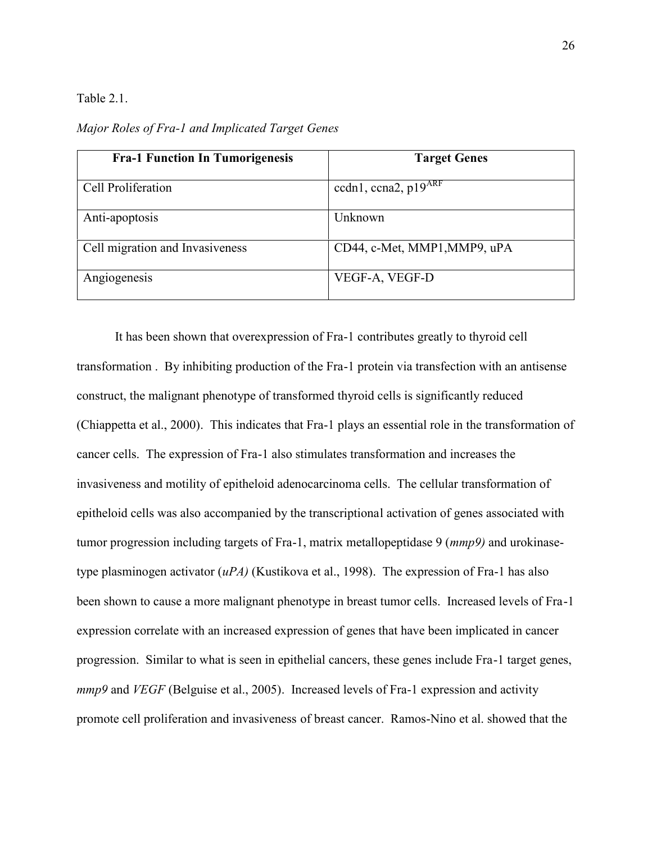Table 2.1.

*Major Roles of Fra-1 and Implicated Target Genes*

| <b>Fra-1 Function In Tumorigenesis</b> | <b>Target Genes</b>          |
|----------------------------------------|------------------------------|
| Cell Proliferation                     | ccdn1, ccna2, $p19^{ARF}$    |
| Anti-apoptosis                         | Unknown                      |
| Cell migration and Invasiveness        | CD44, c-Met, MMP1, MMP9, uPA |
| Angiogenesis                           | VEGF-A, VEGF-D               |

It has been shown that overexpression of Fra-1 contributes greatly to thyroid cell transformation . By inhibiting production of the Fra-1 protein via transfection with an antisense construct, the malignant phenotype of transformed thyroid cells is significantly reduced (Chiappetta et al., 2000). This indicates that Fra-1 plays an essential role in the transformation of cancer cells. The expression of Fra-1 also stimulates transformation and increases the invasiveness and motility of epitheloid adenocarcinoma cells. The cellular transformation of epitheloid cells was also accompanied by the transcriptional activation of genes associated with tumor progression including targets of Fra-1, matrix metallopeptidase 9 (*mmp9)* and urokinasetype plasminogen activator (*uPA)* (Kustikova et al., 1998). The expression of Fra-1 has also been shown to cause a more malignant phenotype in breast tumor cells. Increased levels of Fra-1 expression correlate with an increased expression of genes that have been implicated in cancer progression. Similar to what is seen in epithelial cancers, these genes include Fra-1 target genes, *mmp9* and *VEGF* (Belguise et al., 2005). Increased levels of Fra-1 expression and activity promote cell proliferation and invasiveness of breast cancer. Ramos-Nino et al. showed that the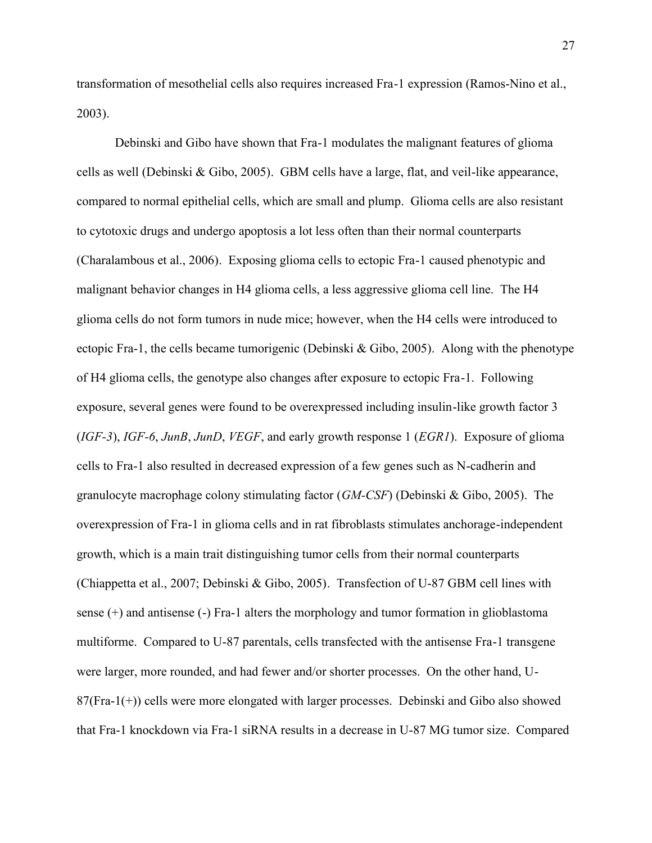transformation of mesothelial cells also requires increased Fra-1 expression (Ramos-Nino et al., 2003).

Debinski and Gibo have shown that Fra-1 modulates the malignant features of glioma cells as well (Debinski & Gibo, 2005). GBM cells have a large, flat, and veil-like appearance, compared to normal epithelial cells, which are small and plump. Glioma cells are also resistant to cytotoxic drugs and undergo apoptosis a lot less often than their normal counterparts (Charalambous et al., 2006). Exposing glioma cells to ectopic Fra-1 caused phenotypic and malignant behavior changes in H4 glioma cells, a less aggressive glioma cell line. The H4 glioma cells do not form tumors in nude mice; however, when the H4 cells were introduced to ectopic Fra-1, the cells became tumorigenic (Debinski & Gibo, 2005). Along with the phenotype of H4 glioma cells, the genotype also changes after exposure to ectopic Fra-1. Following exposure, several genes were found to be overexpressed including insulin-like growth factor 3 (*IGF-3*), *IGF-6*, *JunB*, *JunD*, *VEGF*, and early growth response 1 (*EGR1*). Exposure of glioma cells to Fra-1 also resulted in decreased expression of a few genes such as N-cadherin and granulocyte macrophage colony stimulating factor (*GM-CSF*) (Debinski & Gibo, 2005). The overexpression of Fra-1 in glioma cells and in rat fibroblasts stimulates anchorage-independent growth, which is a main trait distinguishing tumor cells from their normal counterparts (Chiappetta et al., 2007; Debinski & Gibo, 2005). Transfection of U-87 GBM cell lines with sense (+) and antisense (-) Fra-1 alters the morphology and tumor formation in glioblastoma multiforme. Compared to U-87 parentals, cells transfected with the antisense Fra-1 transgene were larger, more rounded, and had fewer and/or shorter processes. On the other hand, U- 87(Fra-1(+)) cells were more elongated with larger processes. Debinski and Gibo also showed that Fra-1 knockdown via Fra-1 siRNA results in a decrease in U-87 MG tumor size. Compared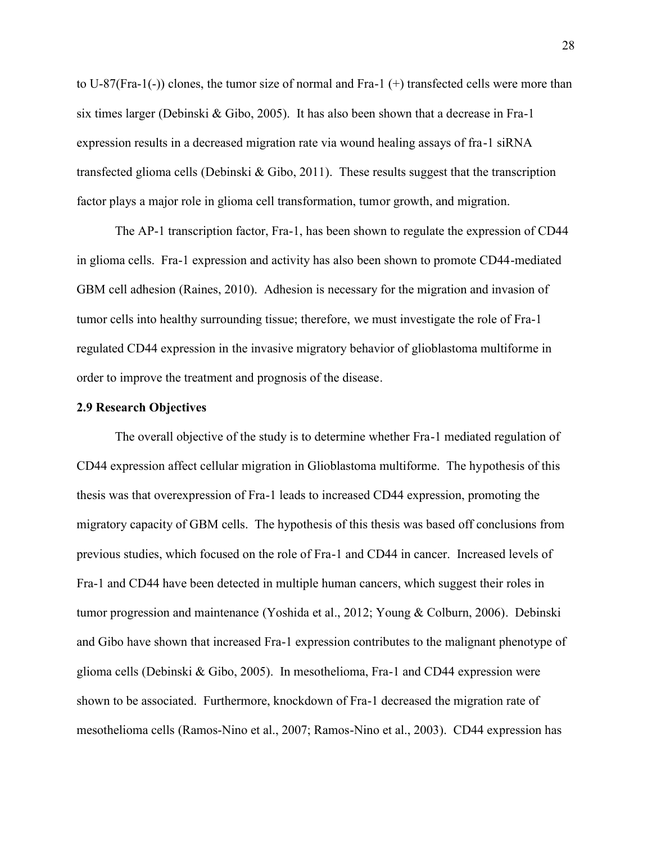to U-87(Fra-1(-)) clones, the tumor size of normal and Fra-1 (+) transfected cells were more than six times larger (Debinski & Gibo, 2005). It has also been shown that a decrease in Fra-1 expression results in a decreased migration rate via wound healing assays of fra-1 siRNA transfected glioma cells (Debinski & Gibo, 2011). These results suggest that the transcription factor plays a major role in glioma cell transformation, tumor growth, and migration.

The AP-1 transcription factor, Fra-1, has been shown to regulate the expression of CD44 in glioma cells. Fra-1 expression and activity has also been shown to promote CD44-mediated GBM cell adhesion (Raines, 2010). Adhesion is necessary for the migration and invasion of tumor cells into healthy surrounding tissue; therefore, we must investigate the role of Fra-1 regulated CD44 expression in the invasive migratory behavior of glioblastoma multiforme in order to improve the treatment and prognosis of the disease.

### **2.9 Research Objectives**

The overall objective of the study is to determine whether Fra-1 mediated regulation of CD44 expression affect cellular migration in Glioblastoma multiforme. The hypothesis of this thesis was that overexpression of Fra-1 leads to increased CD44 expression, promoting the migratory capacity of GBM cells. The hypothesis of this thesis was based off conclusions from previous studies, which focused on the role of Fra-1 and CD44 in cancer. Increased levels of Fra-1 and CD44 have been detected in multiple human cancers, which suggest their roles in tumor progression and maintenance (Yoshida et al., 2012; Young & Colburn, 2006). Debinski and Gibo have shown that increased Fra-1 expression contributes to the malignant phenotype of glioma cells (Debinski & Gibo, 2005). In mesothelioma, Fra-1 and CD44 expression were shown to be associated. Furthermore, knockdown of Fra-1 decreased the migration rate of mesothelioma cells (Ramos-Nino et al., 2007; Ramos-Nino et al., 2003). CD44 expression has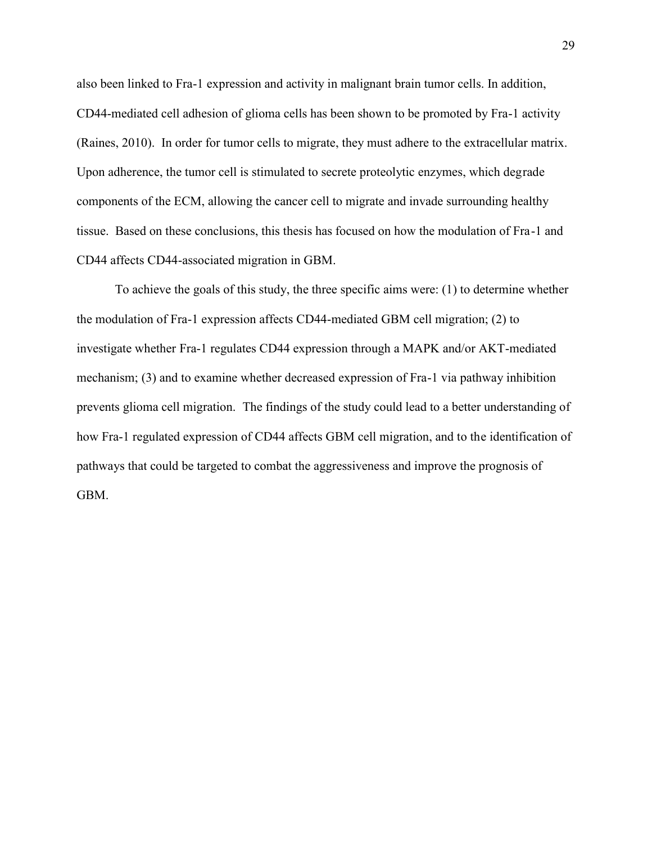also been linked to Fra-1 expression and activity in malignant brain tumor cells. In addition, CD44-mediated cell adhesion of glioma cells has been shown to be promoted by Fra-1 activity (Raines, 2010). In order for tumor cells to migrate, they must adhere to the extracellular matrix. Upon adherence, the tumor cell is stimulated to secrete proteolytic enzymes, which degrade components of the ECM, allowing the cancer cell to migrate and invade surrounding healthy tissue. Based on these conclusions, this thesis has focused on how the modulation of Fra-1 and CD44 affects CD44-associated migration in GBM.

To achieve the goals of this study, the three specific aims were: (1) to determine whether the modulation of Fra-1 expression affects CD44-mediated GBM cell migration; (2) to investigate whether Fra-1 regulates CD44 expression through a MAPK and/or AKT-mediated mechanism; (3) and to examine whether decreased expression of Fra-1 via pathway inhibition prevents glioma cell migration. The findings of the study could lead to a better understanding of how Fra-1 regulated expression of CD44 affects GBM cell migration, and to the identification of pathways that could be targeted to combat the aggressiveness and improve the prognosis of GBM.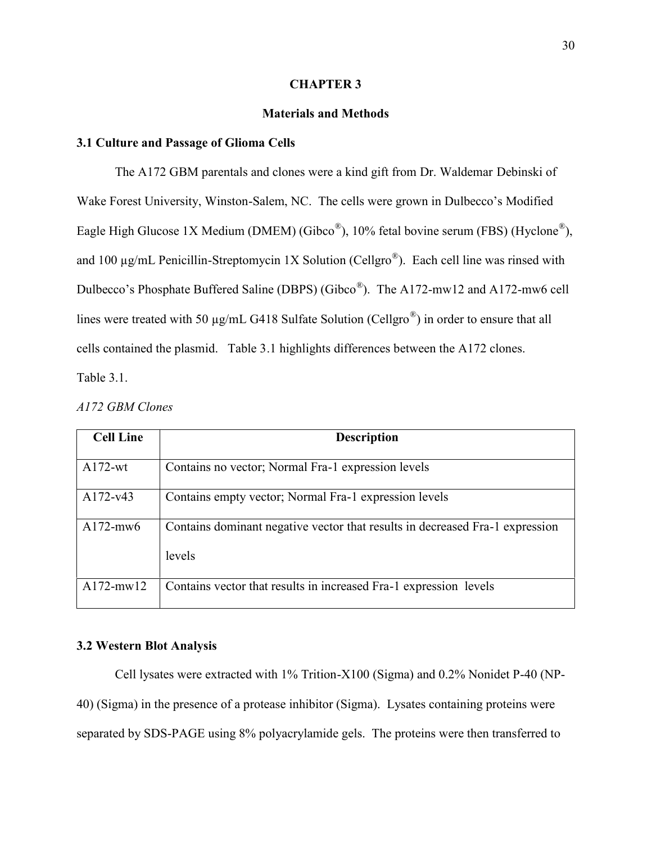### **CHAPTER 3**

## **Materials and Methods**

## **3.1 Culture and Passage of Glioma Cells**

The A172 GBM parentals and clones were a kind gift from Dr. Waldemar Debinski of Wake Forest University, Winston-Salem, NC. The cells were grown in Dulbecco's Modified Eagle High Glucose 1X Medium (DMEM) (Gibco<sup>®</sup>), 10% fetal bovine serum (FBS) (Hyclone<sup>®</sup>), and 100  $\mu$ g/mL Penicillin-Streptomycin 1X Solution (Cellgro<sup>®</sup>). Each cell line was rinsed with Dulbecco's Phosphate Buffered Saline (DBPS) (Gibco<sup>®</sup>). The A172-mw12 and A172-mw6 cell lines were treated with 50  $\mu$ g/mL G418 Sulfate Solution (Cellgro<sup>®</sup>) in order to ensure that all cells contained the plasmid. Table 3.1 highlights differences between the A172 clones. Table 3.1.

| <b>Cell Line</b> | <b>Description</b>                                                           |
|------------------|------------------------------------------------------------------------------|
| A172-wt          | Contains no vector; Normal Fra-1 expression levels                           |
| A172-y43         | Contains empty vector; Normal Fra-1 expression levels                        |
| $A172$ -mw $6$   | Contains dominant negative vector that results in decreased Fra-1 expression |
|                  | levels                                                                       |
| A172-mw12        | Contains vector that results in increased Fra-1 expression levels            |

# *A172 GBM Clones*

## **3.2 Western Blot Analysis**

Cell lysates were extracted with 1% Trition-X100 (Sigma) and 0.2% Nonidet P-40 (NP- 40) (Sigma) in the presence of a protease inhibitor (Sigma). Lysates containing proteins were separated by SDS-PAGE using 8% polyacrylamide gels. The proteins were then transferred to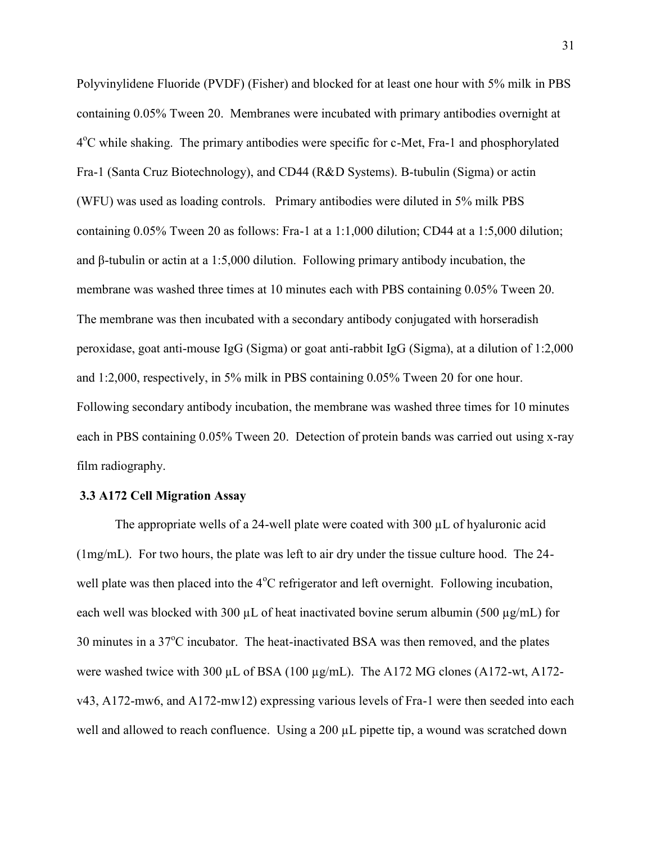Polyvinylidene Fluoride (PVDF) (Fisher) and blocked for at least one hour with 5% milk in PBS containing 0.05% Tween 20. Membranes were incubated with primary antibodies overnight at 4<sup>o</sup>C while shaking. The primary antibodies were specific for c-Met, Fra-1 and phosphorylated Fra-1 (Santa Cruz Biotechnology), and CD44 (R&D Systems). Β-tubulin (Sigma) or actin (WFU) was used as loading controls. Primary antibodies were diluted in 5% milk PBS containing 0.05% Tween 20 as follows: Fra-1 at a 1:1,000 dilution; CD44 at a 1:5,000 dilution; and β-tubulin or actin at a 1:5,000 dilution. Following primary antibody incubation, the membrane was washed three times at 10 minutes each with PBS containing 0.05% Tween 20. The membrane was then incubated with a secondary antibody conjugated with horseradish peroxidase, goat anti-mouse IgG (Sigma) or goat anti-rabbit IgG (Sigma), at a dilution of 1:2,000 and 1:2,000, respectively, in 5% milk in PBS containing 0.05% Tween 20 for one hour. Following secondary antibody incubation, the membrane was washed three times for 10 minutes each in PBS containing 0.05% Tween 20. Detection of protein bands was carried out using x-ray film radiography.

## **3.3 A172 Cell Migration Assay**

The appropriate wells of a 24-well plate were coated with 300 µL of hyaluronic acid (1mg/mL). For two hours, the plate was left to air dry under the tissue culture hood. The 24 well plate was then placed into the  $4^{\circ}$ C refrigerator and left overnight. Following incubation, each well was blocked with 300  $\mu$ L of heat inactivated bovine serum albumin (500  $\mu$ g/mL) for  $30$  minutes in a  $37^{\circ}$ C incubator. The heat-inactivated BSA was then removed, and the plates were washed twice with 300 µL of BSA (100 µg/mL). The A172 MG clones (A172-wt, A172v43, A172-mw6, and A172-mw12) expressing various levels of Fra-1 were then seeded into each well and allowed to reach confluence. Using a 200 µL pipette tip, a wound was scratched down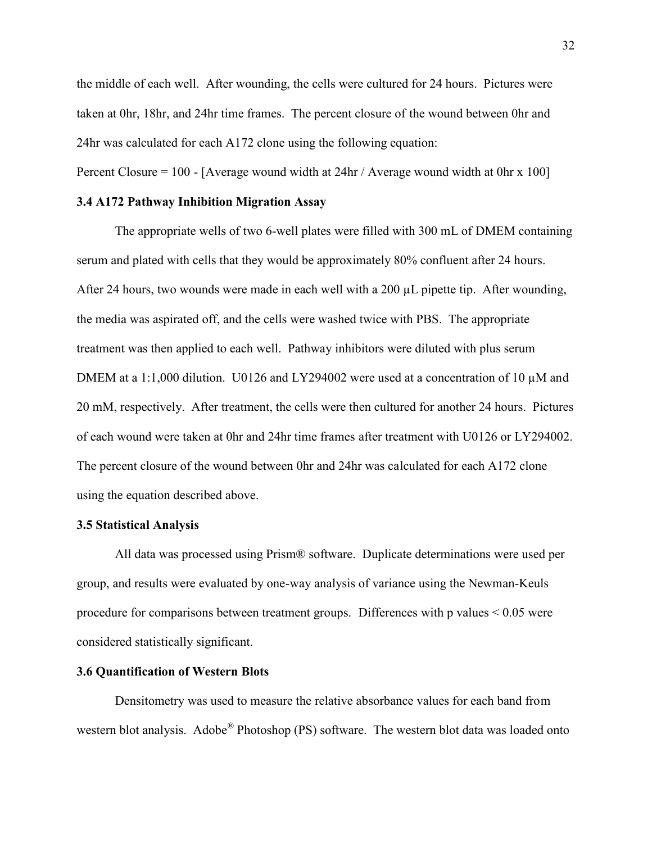the middle of each well. After wounding, the cells were cultured for 24 hours. Pictures were taken at 0hr, 18hr, and 24hr time frames. The percent closure of the wound between 0hr and 24hr was calculated for each A172 clone using the following equation:

Percent Closure = 100 - [Average wound width at 24hr / Average wound width at 0hr x 100]

## **3.4 A172 Pathway Inhibition Migration Assay**

The appropriate wells of two 6-well plates were filled with 300 mL of DMEM containing serum and plated with cells that they would be approximately 80% confluent after 24 hours. After 24 hours, two wounds were made in each well with a 200  $\mu$ L pipette tip. After wounding, the media was aspirated off, and the cells were washed twice with PBS. The appropriate treatment was then applied to each well. Pathway inhibitors were diluted with plus serum DMEM at a 1:1,000 dilution. U0126 and LY294002 were used at a concentration of 10  $\mu$ M and 20 mM, respectively. After treatment, the cells were then cultured for another 24 hours. Pictures of each wound were taken at 0hr and 24hr time frames after treatment with U0126 or LY294002. The percent closure of the wound between 0hr and 24hr was calculated for each A172 clone using the equation described above.

## **3.5 Statistical Analysis**

All data was processed using Prism® software. Duplicate determinations were used per group, and results were evaluated by one-way analysis of variance using the Newman-Keuls procedure for comparisons between treatment groups. Differences with p values < 0.05 were considered statistically significant.

## **3.6 Quantification of Western Blots**

Densitometry was used to measure the relative absorbance values for each band from western blot analysis. Adobe<sup>®</sup> Photoshop (PS) software. The western blot data was loaded onto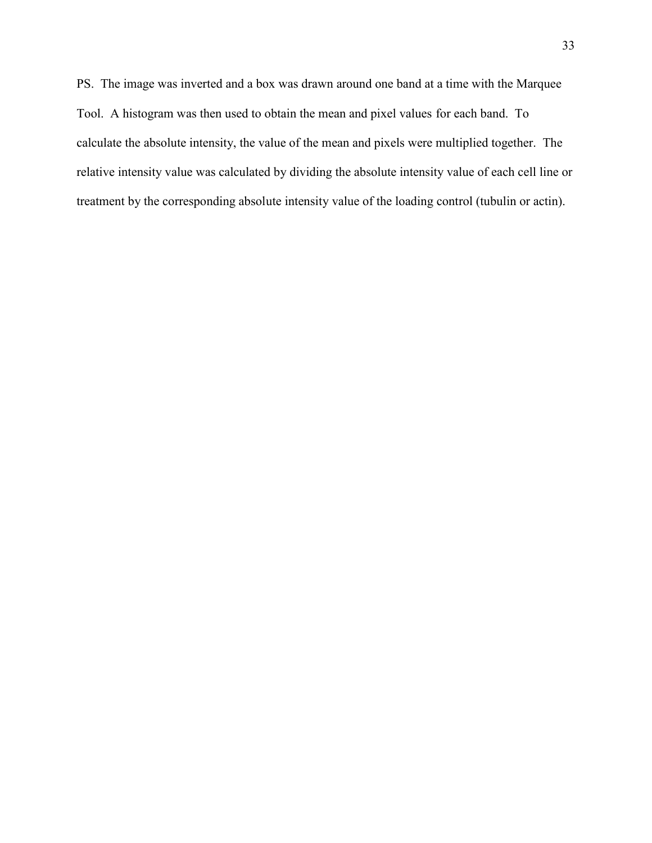PS. The image was inverted and a box was drawn around one band at a time with the Marquee Tool. A histogram was then used to obtain the mean and pixel values for each band. To calculate the absolute intensity, the value of the mean and pixels were multiplied together. The relative intensity value was calculated by dividing the absolute intensity value of each cell line or treatment by the corresponding absolute intensity value of the loading control (tubulin or actin).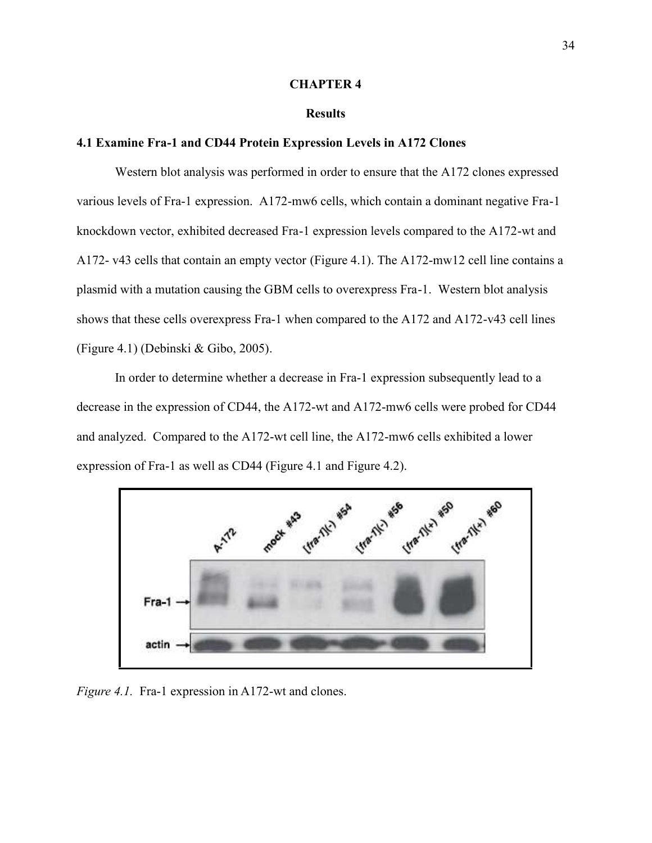#### **CHAPTER 4**

## **Results**

## **4.1 Examine Fra-1 and CD44 Protein Expression Levels in A172 Clones**

Western blot analysis was performed in order to ensure that the A172 clones expressed various levels of Fra-1 expression. A172-mw6 cells, which contain a dominant negative Fra-1 knockdown vector, exhibited decreased Fra-1 expression levels compared to the A172-wt and A172- v43 cells that contain an empty vector (Figure 4.1). The A172-mw12 cell line contains a plasmid with a mutation causing the GBM cells to overexpress Fra-1. Western blot analysis shows that these cells overexpress Fra-1 when compared to the A172 and A172-v43 cell lines (Figure 4.1) (Debinski & Gibo, 2005).

In order to determine whether a decrease in Fra-1 expression subsequently lead to a decrease in the expression of CD44, the A172-wt and A172-mw6 cells were probed for CD44 and analyzed. Compared to the A172-wt cell line, the A172-mw6 cells exhibited a lower expression of Fra-1 as well as CD44 (Figure 4.1 and Figure 4.2).



*Figure 4.1.* Fra-1 expression in A172-wt and clones.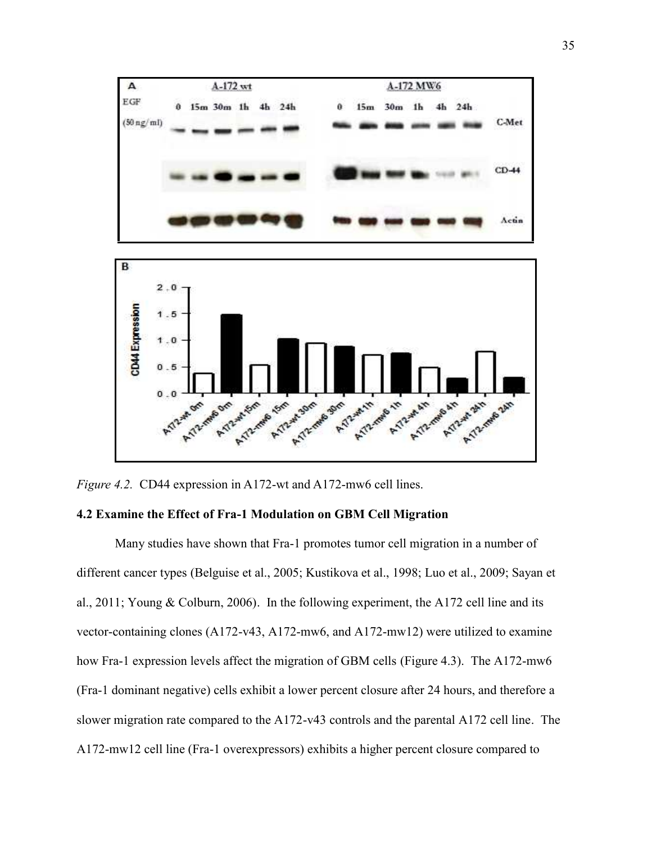

*Figure 4.2.* CD44 expression in A172-wt and A172-mw6 cell lines.

## **4.2 Examine the Effect of Fra-1 Modulation on GBM Cell Migration**

Many studies have shown that Fra-1 promotes tumor cell migration in a number of different cancer types (Belguise et al., 2005; Kustikova et al., 1998; Luo et al., 2009; Sayan et al., 2011; Young & Colburn, 2006). In the following experiment, the A172 cell line and its vector-containing clones (A172-v43, A172-mw6, and A172-mw12) were utilized to examine how Fra-1 expression levels affect the migration of GBM cells (Figure 4.3). The A172-mw6 (Fra-1 dominant negative) cells exhibit a lower percent closure after 24 hours, and therefore a slower migration rate compared to the A172-v43 controls and the parental A172 cell line. The A172-mw12 cell line (Fra-1 overexpressors) exhibits a higher percent closure compared to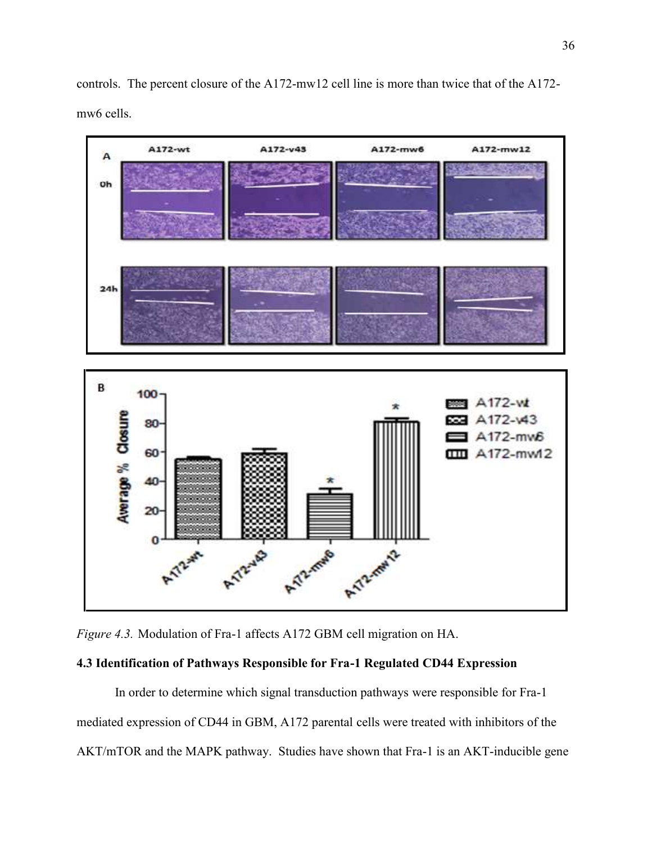controls. The percent closure of the A172-mw12 cell line is more than twice that of the A172 mw6 cells.





## **4.3 Identification of Pathways Responsible for Fra-1 Regulated CD44 Expression**

In order to determine which signal transduction pathways were responsible for Fra-1 mediated expression of CD44 in GBM, A172 parental cells were treated with inhibitors of the AKT/mTOR and the MAPK pathway. Studies have shown that Fra-1 is an AKT-inducible gene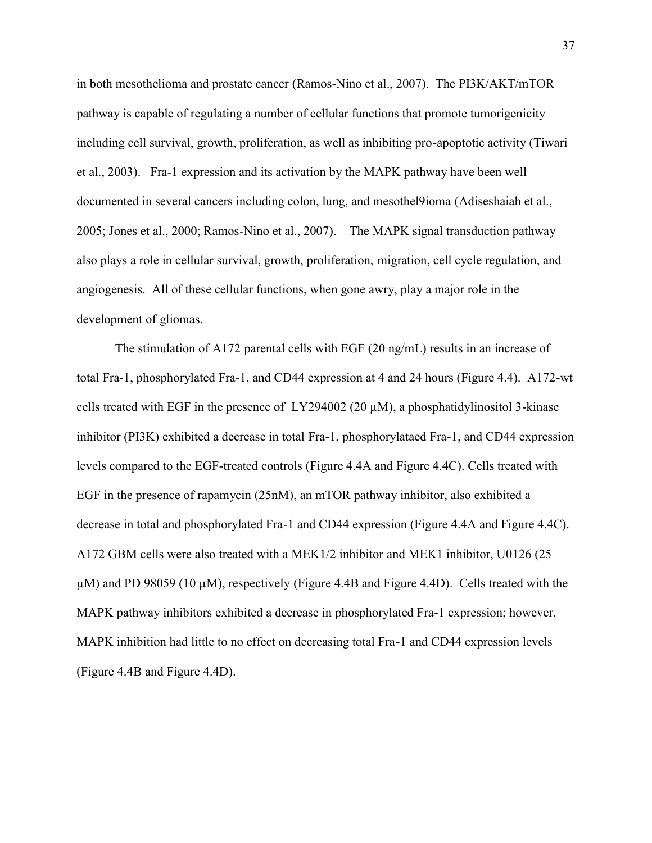in both mesothelioma and prostate cancer (Ramos-Nino et al., 2007). The PI3K/AKT/mTOR pathway is capable of regulating a number of cellular functions that promote tumorigenicity including cell survival, growth, proliferation, as well as inhibiting pro-apoptotic activity (Tiwari et al., 2003). Fra-1 expression and its activation by the MAPK pathway have been well documented in several cancers including colon, lung, and mesothel9ioma (Adiseshaiah et al., 2005; Jones et al., 2000; Ramos-Nino et al., 2007). The MAPK signal transduction pathway also plays a role in cellular survival, growth, proliferation, migration, cell cycle regulation, and angiogenesis. All of these cellular functions, when gone awry, play a major role in the development of gliomas.

The stimulation of A172 parental cells with EGF (20 ng/mL) results in an increase of total Fra-1, phosphorylated Fra-1, and CD44 expression at 4 and 24 hours (Figure 4.4). A172-wt cells treated with EGF in the presence of LY294002 (20  $\mu$ M), a phosphatidylinositol 3-kinase inhibitor (PI3K) exhibited a decrease in total Fra-1, phosphorylataed Fra-1, and CD44 expression levels compared to the EGF-treated controls (Figure 4.4A and Figure 4.4C). Cells treated with EGF in the presence of rapamycin (25nM), an mTOR pathway inhibitor, also exhibited a decrease in total and phosphorylated Fra-1 and CD44 expression (Figure 4.4A and Figure 4.4C). A172 GBM cells were also treated with a MEK1/2 inhibitor and MEK1 inhibitor, U0126 (25  $\mu$ M) and PD 98059 (10  $\mu$ M), respectively (Figure 4.4B and Figure 4.4D). Cells treated with the MAPK pathway inhibitors exhibited a decrease in phosphorylated Fra-1 expression; however, MAPK inhibition had little to no effect on decreasing total Fra-1 and CD44 expression levels (Figure 4.4B and Figure 4.4D).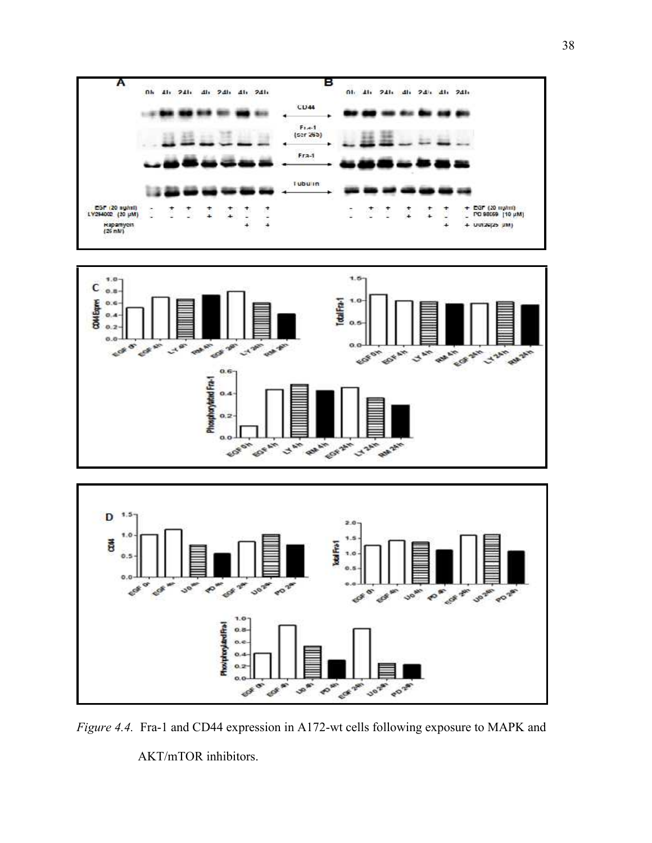





*Figure 4.4.* Fra-1 and CD44 expression in A172-wt cells following exposure to MAPK and

AKT/mTOR inhibitors.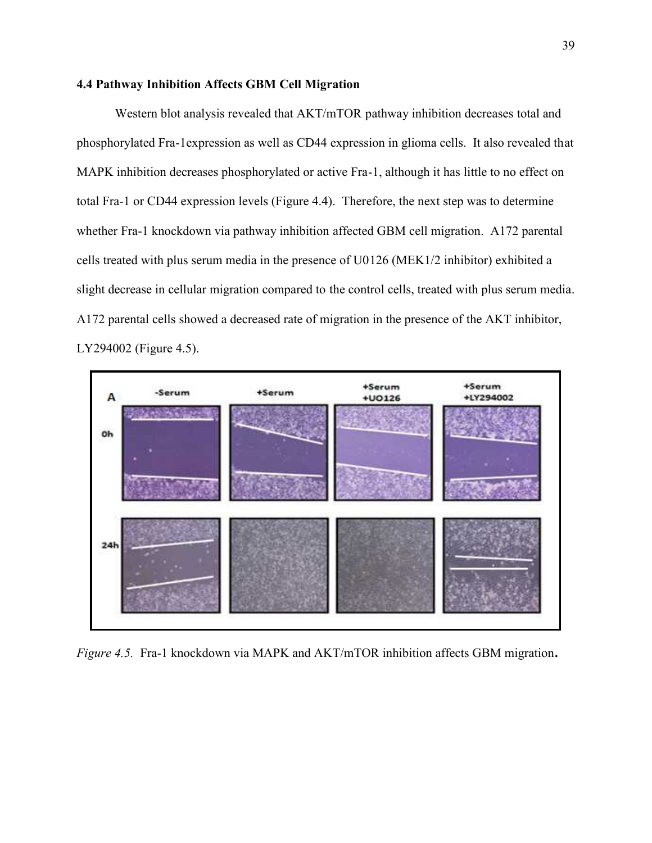## **4.4 Pathway Inhibition Affects GBM Cell Migration**

Western blot analysis revealed that AKT/mTOR pathway inhibition decreases total and phosphorylated Fra-1expression as well as CD44 expression in glioma cells. It also revealed that MAPK inhibition decreases phosphorylated or active Fra-1, although it has little to no effect on total Fra-1 or CD44 expression levels (Figure 4.4). Therefore, the next step was to determine whether Fra-1 knockdown via pathway inhibition affected GBM cell migration. A172 parental cells treated with plus serum media in the presence of U0126 (MEK1/2 inhibitor) exhibited a slight decrease in cellular migration compared to the control cells, treated with plus serum media. A172 parental cells showed a decreased rate of migration in the presence of the AKT inhibitor, LY294002 (Figure 4.5).



*Figure 4.5.* Fra-1 knockdown via MAPK and AKT/mTOR inhibition affects GBM migration**.**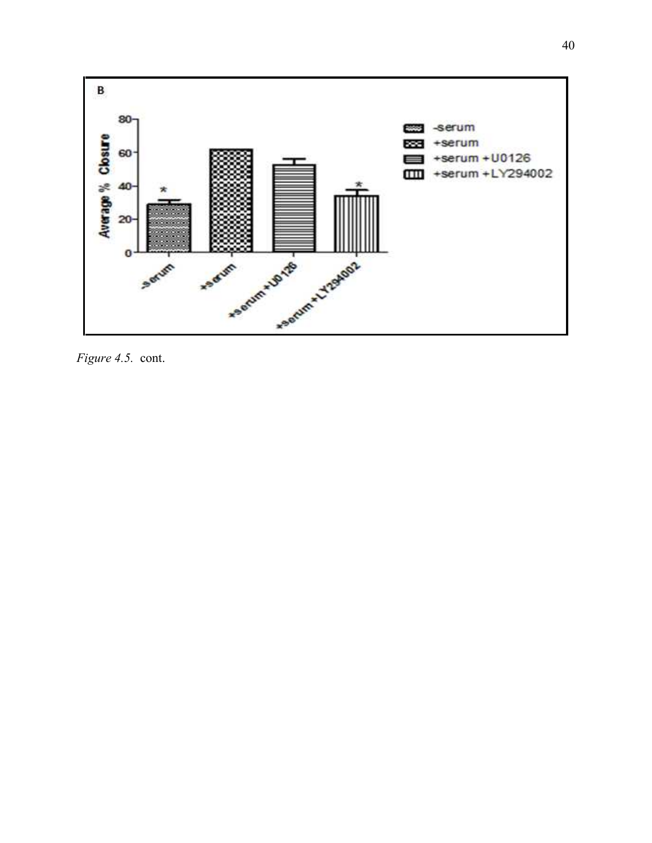

*Figure 4.5.* cont.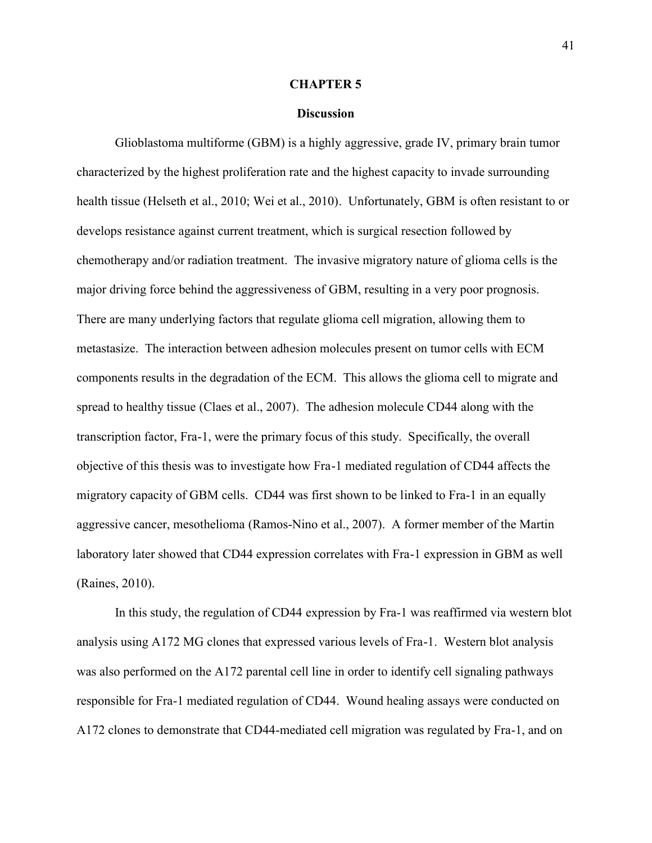#### **CHAPTER 5**

#### **Discussion**

Glioblastoma multiforme (GBM) is a highly aggressive, grade IV, primary brain tumor characterized by the highest proliferation rate and the highest capacity to invade surrounding health tissue (Helseth et al., 2010; Wei et al., 2010). Unfortunately, GBM is often resistant to or develops resistance against current treatment, which is surgical resection followed by chemotherapy and/or radiation treatment. The invasive migratory nature of glioma cells is the major driving force behind the aggressiveness of GBM, resulting in a very poor prognosis. There are many underlying factors that regulate glioma cell migration, allowing them to metastasize. The interaction between adhesion molecules present on tumor cells with ECM components results in the degradation of the ECM. This allows the glioma cell to migrate and spread to healthy tissue (Claes et al., 2007). The adhesion molecule CD44 along with the transcription factor, Fra-1, were the primary focus of this study. Specifically, the overall objective of this thesis was to investigate how Fra-1 mediated regulation of CD44 affects the migratory capacity of GBM cells. CD44 was first shown to be linked to Fra-1 in an equally aggressive cancer, mesothelioma (Ramos-Nino et al., 2007). A former member of the Martin laboratory later showed that CD44 expression correlates with Fra-1 expression in GBM as well (Raines, 2010).

In this study, the regulation of CD44 expression by Fra-1 was reaffirmed via western blot analysis using A172 MG clones that expressed various levels of Fra-1. Western blot analysis was also performed on the A172 parental cell line in order to identify cell signaling pathways responsible for Fra-1 mediated regulation of CD44. Wound healing assays were conducted on A172 clones to demonstrate that CD44-mediated cell migration was regulated by Fra-1, and on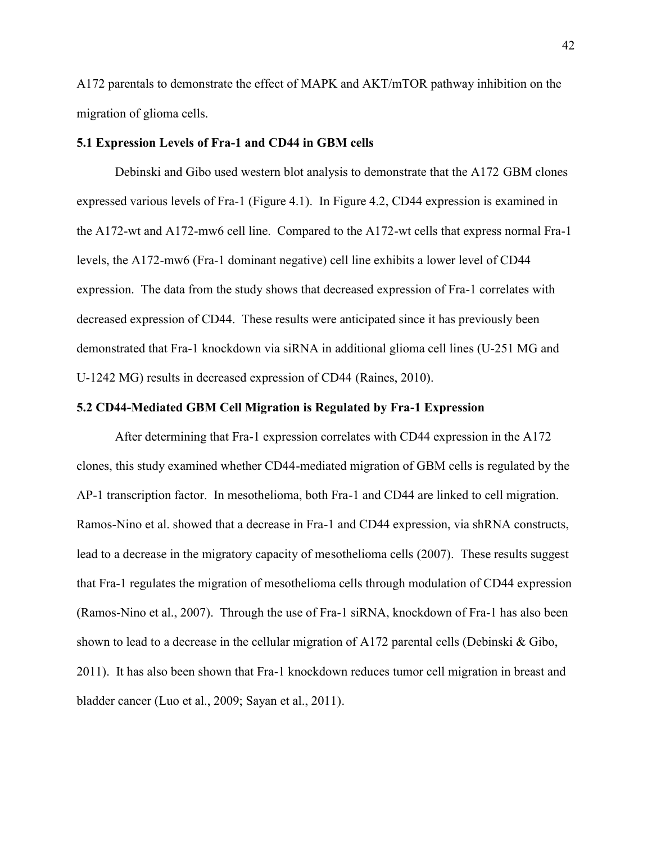A172 parentals to demonstrate the effect of MAPK and AKT/mTOR pathway inhibition on the migration of glioma cells.

## **5.1 Expression Levels of Fra-1 and CD44 in GBM cells**

Debinski and Gibo used western blot analysis to demonstrate that the A172 GBM clones expressed various levels of Fra-1 (Figure 4.1). In Figure 4.2, CD44 expression is examined in the A172-wt and A172-mw6 cell line. Compared to the A172-wt cells that express normal Fra-1 levels, the A172-mw6 (Fra-1 dominant negative) cell line exhibits a lower level of CD44 expression. The data from the study shows that decreased expression of Fra-1 correlates with decreased expression of CD44. These results were anticipated since it has previously been demonstrated that Fra-1 knockdown via siRNA in additional glioma cell lines (U-251 MG and U-1242 MG) results in decreased expression of CD44 (Raines, 2010).

## **5.2 CD44-Mediated GBM Cell Migration is Regulated by Fra-1 Expression**

After determining that Fra-1 expression correlates with CD44 expression in the A172 clones, this study examined whether CD44-mediated migration of GBM cells is regulated by the AP-1 transcription factor. In mesothelioma, both Fra-1 and CD44 are linked to cell migration. Ramos-Nino et al. showed that a decrease in Fra-1 and CD44 expression, via shRNA constructs, lead to a decrease in the migratory capacity of mesothelioma cells (2007). These results suggest that Fra-1 regulates the migration of mesothelioma cells through modulation of CD44 expression (Ramos-Nino et al., 2007). Through the use of Fra-1 siRNA, knockdown of Fra-1 has also been shown to lead to a decrease in the cellular migration of A172 parental cells (Debinski & Gibo, 2011). It has also been shown that Fra-1 knockdown reduces tumor cell migration in breast and bladder cancer (Luo et al., 2009; Sayan et al., 2011).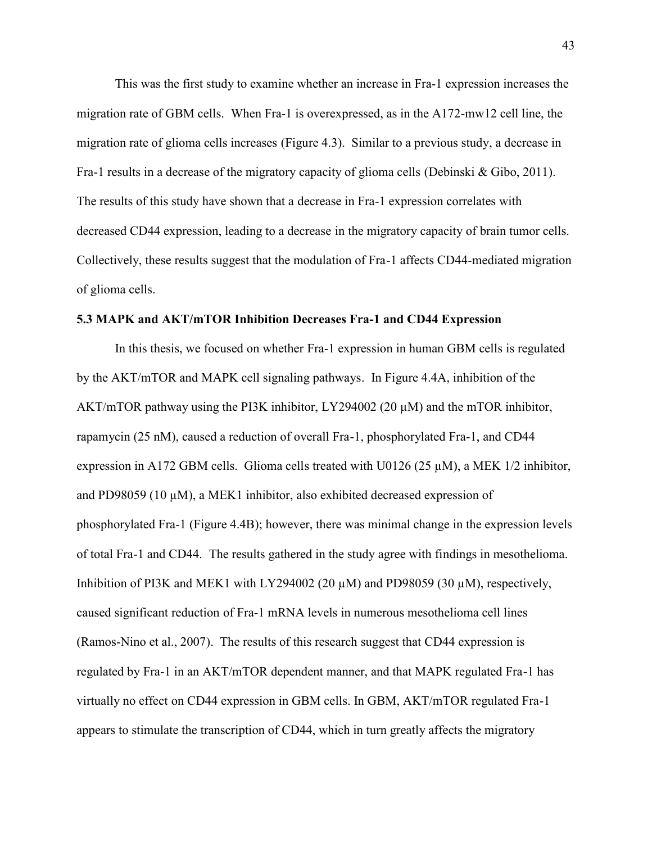This was the first study to examine whether an increase in Fra-1 expression increases the migration rate of GBM cells. When Fra-1 is overexpressed, as in the A172-mw12 cell line, the migration rate of glioma cells increases (Figure 4.3). Similar to a previous study, a decrease in Fra-1 results in a decrease of the migratory capacity of glioma cells (Debinski & Gibo, 2011). The results of this study have shown that a decrease in Fra-1 expression correlates with decreased CD44 expression, leading to a decrease in the migratory capacity of brain tumor cells. Collectively, these results suggest that the modulation of Fra-1 affects CD44-mediated migration of glioma cells.

## **5.3 MAPK and AKT/mTOR Inhibition Decreases Fra-1 and CD44 Expression**

In this thesis, we focused on whether Fra-1 expression in human GBM cells is regulated by the AKT/mTOR and MAPK cell signaling pathways. In Figure 4.4A, inhibition of the AKT/mTOR pathway using the PI3K inhibitor, LY294002 (20  $\mu$ M) and the mTOR inhibitor, rapamycin (25 nM), caused a reduction of overall Fra-1, phosphorylated Fra-1, and CD44 expression in A172 GBM cells. Glioma cells treated with U0126 (25  $\mu$ M), a MEK 1/2 inhibitor, and PD98059 (10  $\mu$ M), a MEK1 inhibitor, also exhibited decreased expression of phosphorylated Fra-1 (Figure 4.4B); however, there was minimal change in the expression levels of total Fra-1 and CD44. The results gathered in the study agree with findings in mesothelioma. Inhibition of PI3K and MEK1 with LY294002 (20 µM) and PD98059 (30 µM), respectively, caused significant reduction of Fra-1 mRNA levels in numerous mesothelioma cell lines (Ramos-Nino et al., 2007). The results of this research suggest that CD44 expression is regulated by Fra-1 in an AKT/mTOR dependent manner, and that MAPK regulated Fra-1 has virtually no effect on CD44 expression in GBM cells. In GBM, AKT/mTOR regulated Fra-1 appears to stimulate the transcription of CD44, which in turn greatly affects the migratory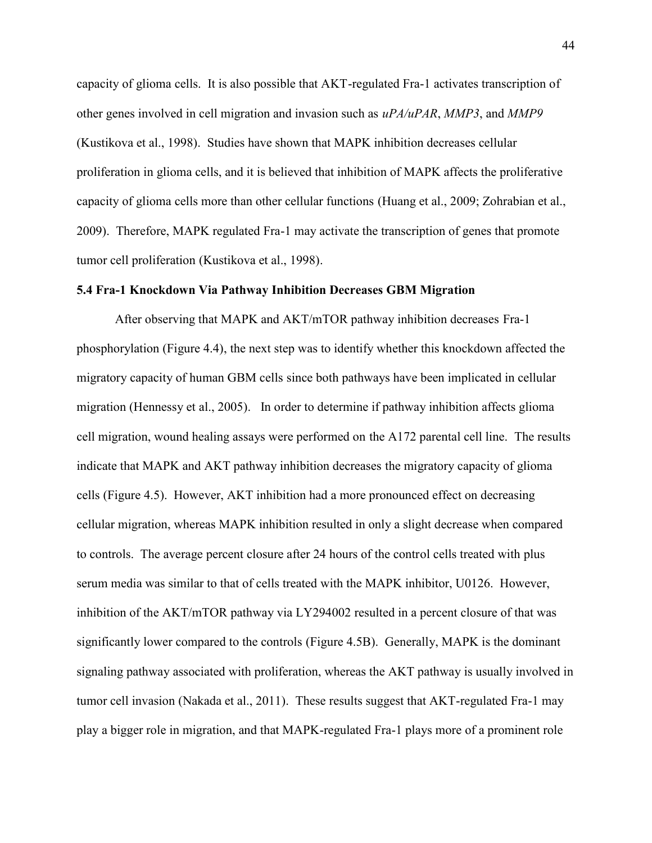capacity of glioma cells. It is also possible that AKT-regulated Fra-1 activates transcription of other genes involved in cell migration and invasion such as *uPA/uPAR*, *MMP3*, and *MMP9* (Kustikova et al., 1998). Studies have shown that MAPK inhibition decreases cellular proliferation in glioma cells, and it is believed that inhibition of MAPK affects the proliferative capacity of glioma cells more than other cellular functions (Huang et al., 2009; Zohrabian et al., 2009). Therefore, MAPK regulated Fra-1 may activate the transcription of genes that promote tumor cell proliferation (Kustikova et al., 1998).

### **5.4 Fra-1 Knockdown Via Pathway Inhibition Decreases GBM Migration**

After observing that MAPK and AKT/mTOR pathway inhibition decreases Fra-1 phosphorylation (Figure 4.4), the next step was to identify whether this knockdown affected the migratory capacity of human GBM cells since both pathways have been implicated in cellular migration (Hennessy et al., 2005). In order to determine if pathway inhibition affects glioma cell migration, wound healing assays were performed on the A172 parental cell line. The results indicate that MAPK and AKT pathway inhibition decreases the migratory capacity of glioma cells (Figure 4.5). However, AKT inhibition had a more pronounced effect on decreasing cellular migration, whereas MAPK inhibition resulted in only a slight decrease when compared to controls. The average percent closure after 24 hours of the control cells treated with plus serum media was similar to that of cells treated with the MAPK inhibitor, U0126. However, inhibition of the AKT/mTOR pathway via LY294002 resulted in a percent closure of that was significantly lower compared to the controls (Figure 4.5B). Generally, MAPK is the dominant signaling pathway associated with proliferation, whereas the AKT pathway is usually involved in tumor cell invasion (Nakada et al., 2011). These results suggest that AKT-regulated Fra-1 may play a bigger role in migration, and that MAPK-regulated Fra-1 plays more of a prominent role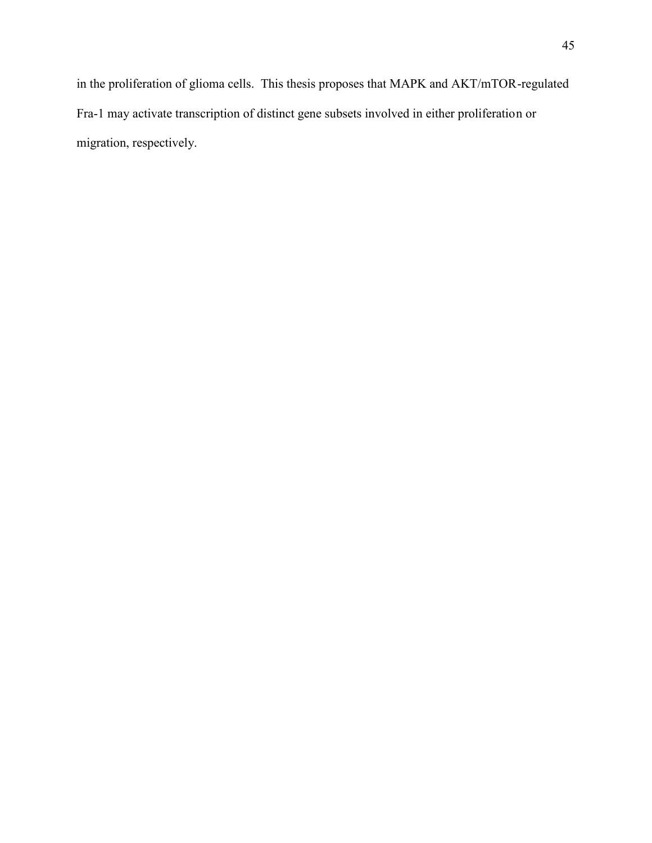in the proliferation of glioma cells. This thesis proposes that MAPK and AKT/mTOR-regulated Fra-1 may activate transcription of distinct gene subsets involved in either proliferation or migration, respectively.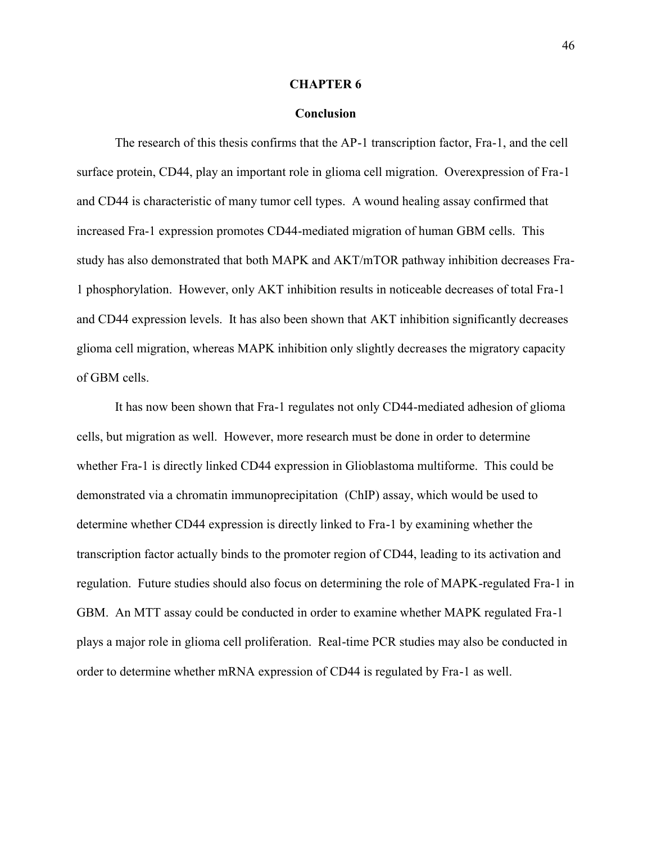#### **CHAPTER 6**

### **Conclusion**

The research of this thesis confirms that the AP-1 transcription factor, Fra-1, and the cell surface protein, CD44, play an important role in glioma cell migration. Overexpression of Fra-1 and CD44 is characteristic of many tumor cell types. A wound healing assay confirmed that increased Fra-1 expression promotes CD44-mediated migration of human GBM cells. This study has also demonstrated that both MAPK and AKT/mTOR pathway inhibition decreases Fra- 1 phosphorylation. However, only AKT inhibition results in noticeable decreases of total Fra-1 and CD44 expression levels. It has also been shown that AKT inhibition significantly decreases glioma cell migration, whereas MAPK inhibition only slightly decreases the migratory capacity of GBM cells.

It has now been shown that Fra-1 regulates not only CD44-mediated adhesion of glioma cells, but migration as well. However, more research must be done in order to determine whether Fra-1 is directly linked CD44 expression in Glioblastoma multiforme. This could be demonstrated via a chromatin immunoprecipitation (ChIP) assay, which would be used to determine whether CD44 expression is directly linked to Fra-1 by examining whether the transcription factor actually binds to the promoter region of CD44, leading to its activation and regulation. Future studies should also focus on determining the role of MAPK-regulated Fra-1 in GBM. An MTT assay could be conducted in order to examine whether MAPK regulated Fra-1 plays a major role in glioma cell proliferation. Real-time PCR studies may also be conducted in order to determine whether mRNA expression of CD44 is regulated by Fra-1 as well.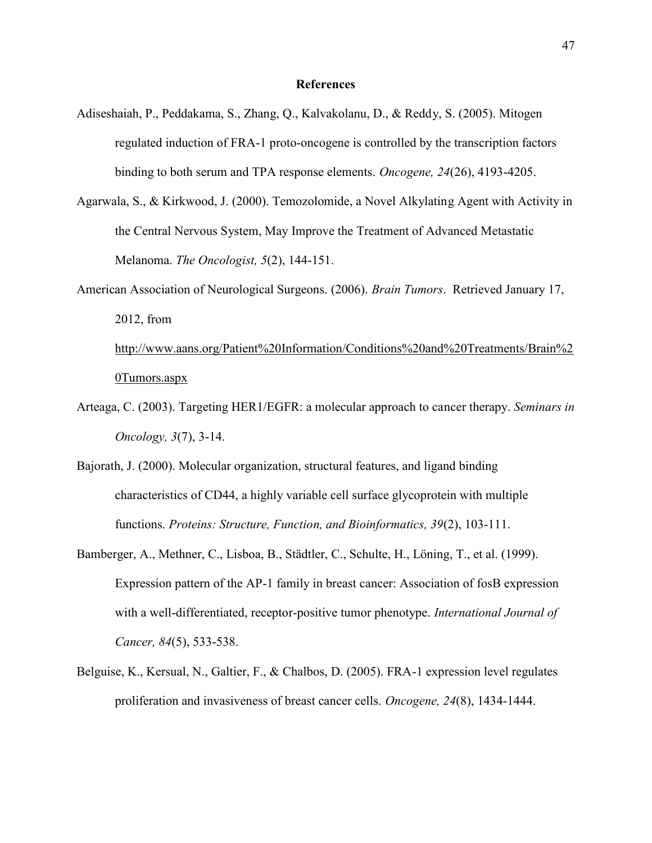#### **References**

- Adiseshaiah, P., Peddakama, S., Zhang, Q., Kalvakolanu, D., & Reddy, S. (2005). Mitogen regulated induction of FRA-1 proto-oncogene is controlled by the transcription factors binding to both serum and TPA response elements. *Oncogene, 24*(26), 4193-4205.
- Agarwala, S., & Kirkwood, J. (2000). Temozolomide, a Novel Alkylating Agent with Activity in the Central Nervous System, May Improve the Treatment of Advanced Metastatic Melanoma. *The Oncologist, 5*(2), 144-151.
- American Association of Neurological Surgeons. (2006). *Brain Tumors*. Retrieved January 17, 2012, from http://www.aans.org/Patient%20Information/Conditions%20and%20Treatments/Brain%2

#### 0Tumors.aspx

- Arteaga, C. (2003). Targeting HER1/EGFR: a molecular approach to cancer therapy. *Seminars in Oncology, 3*(7), 3-14.
- Bajorath, J. (2000). Molecular organization, structural features, and ligand binding characteristics of CD44, a highly variable cell surface glycoprotein with multiple functions. *Proteins: Structure, Function, and Bioinformatics, 39*(2), 103-111.
- Bamberger, A., Methner, C., Lisboa, B., Städtler, C., Schulte, H., Löning, T., et al. (1999). Expression pattern of the AP-1 family in breast cancer: Association of fosB expression with a well-differentiated, receptor-positive tumor phenotype. *International Journal of Cancer, 84*(5), 533-538.
- Belguise, K., Kersual, N., Galtier, F., & Chalbos, D. (2005). FRA-1 expression level regulates proliferation and invasiveness of breast cancer cells. *Oncogene, 24*(8), 1434-1444.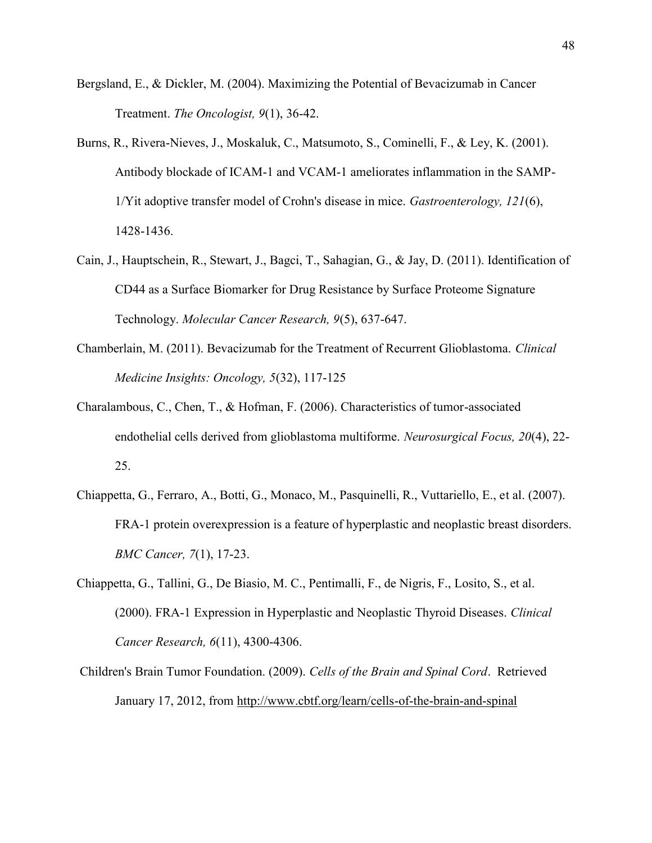- Bergsland, E., & Dickler, M. (2004). Maximizing the Potential of Bevacizumab in Cancer Treatment. *The Oncologist, 9*(1), 36-42.
- Burns, R., Rivera-Nieves, J., Moskaluk, C., Matsumoto, S., Cominelli, F., & Ley, K. (2001). Antibody blockade of ICAM-1 and VCAM-1 ameliorates inflammation in the SAMP- 1/Yit adoptive transfer model of Crohn's disease in mice. *Gastroenterology, 121*(6), 1428-1436.
- Cain, J., Hauptschein, R., Stewart, J., Bagci, T., Sahagian, G., & Jay, D. (2011). Identification of CD44 as a Surface Biomarker for Drug Resistance by Surface Proteome Signature Technology. *Molecular Cancer Research, 9*(5), 637-647.
- Chamberlain, M. (2011). Bevacizumab for the Treatment of Recurrent Glioblastoma. *Clinical Medicine Insights: Oncology, 5*(32), 117-125
- Charalambous, C., Chen, T., & Hofman, F. (2006). Characteristics of tumor-associated endothelial cells derived from glioblastoma multiforme. *Neurosurgical Focus, 20*(4), 22- 25.
- Chiappetta, G., Ferraro, A., Botti, G., Monaco, M., Pasquinelli, R., Vuttariello, E., et al. (2007). FRA-1 protein overexpression is a feature of hyperplastic and neoplastic breast disorders. *BMC Cancer, 7*(1), 17-23.
- Chiappetta, G., Tallini, G., De Biasio, M. C., Pentimalli, F., de Nigris, F., Losito, S., et al. (2000). FRA-1 Expression in Hyperplastic and Neoplastic Thyroid Diseases. *Clinical Cancer Research, 6*(11), 4300-4306.
- Children's Brain Tumor Foundation. (2009). *Cells of the Brain and Spinal Cord*. Retrieved January 17, 2012, from http://www.cbtf.org/learn/cells-of-the-brain-and-spinal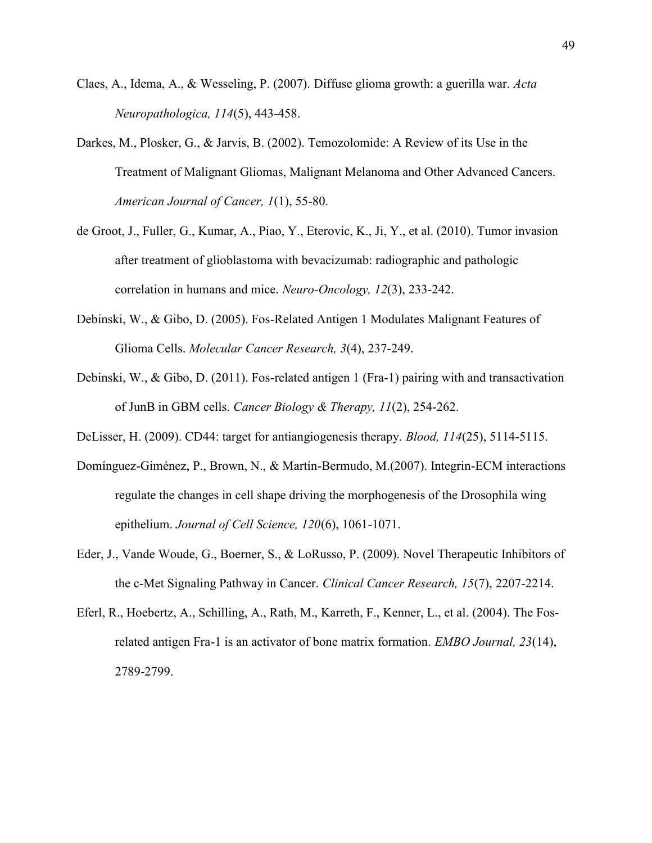- Claes, A., Idema, A., & Wesseling, P. (2007). Diffuse glioma growth: a guerilla war. *Acta Neuropathologica, 114*(5), 443-458.
- Darkes, M., Plosker, G., & Jarvis, B. (2002). Temozolomide: A Review of its Use in the Treatment of Malignant Gliomas, Malignant Melanoma and Other Advanced Cancers. *American Journal of Cancer, 1*(1), 55-80.
- de Groot, J., Fuller, G., Kumar, A., Piao, Y., Eterovic, K., Ji, Y., et al. (2010). Tumor invasion after treatment of glioblastoma with bevacizumab: radiographic and pathologic correlation in humans and mice. *Neuro-Oncology, 12*(3), 233-242.
- Debinski, W., & Gibo, D. (2005). Fos-Related Antigen 1 Modulates Malignant Features of Glioma Cells. *Molecular Cancer Research, 3*(4), 237-249.
- Debinski, W., & Gibo, D. (2011). Fos-related antigen 1 (Fra-1) pairing with and transactivation of JunB in GBM cells. *Cancer Biology & Therapy, 11*(2), 254-262.
- DeLisser, H. (2009). CD44: target for antiangiogenesis therapy. *Blood, 114*(25), 5114-5115.
- Domínguez-Giménez, P., Brown, N., & Martín-Bermudo, M.(2007). Integrin-ECM interactions regulate the changes in cell shape driving the morphogenesis of the Drosophila wing epithelium. *Journal of Cell Science, 120*(6), 1061-1071.
- Eder, J., Vande Woude, G., Boerner, S., & LoRusso, P. (2009). Novel Therapeutic Inhibitors of the c-Met Signaling Pathway in Cancer. *Clinical Cancer Research, 15*(7), 2207-2214.
- Eferl, R., Hoebertz, A., Schilling, A., Rath, M., Karreth, F., Kenner, L., et al. (2004). The Fosrelated antigen Fra-1 is an activator of bone matrix formation. *EMBO Journal, 23*(14), 2789-2799.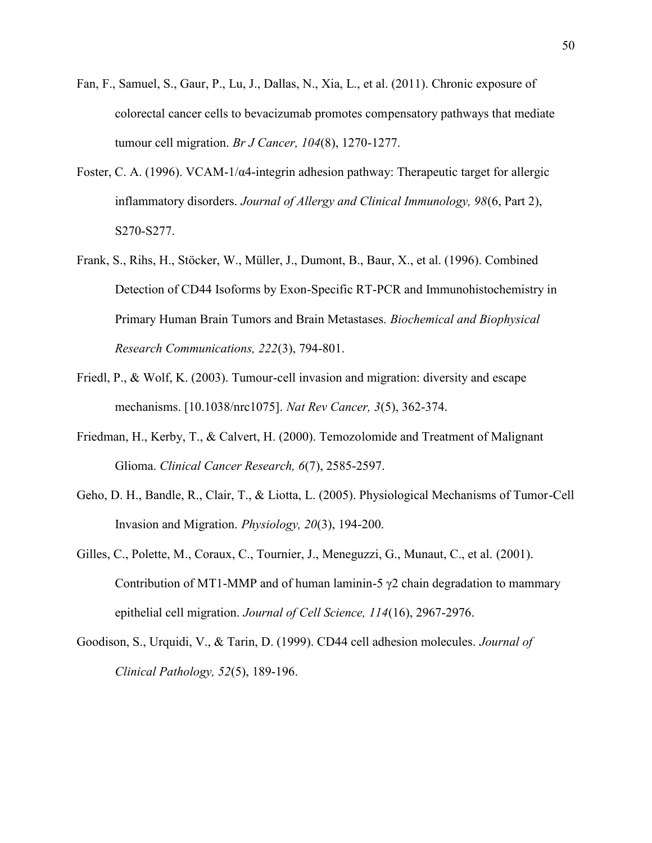- Fan, F., Samuel, S., Gaur, P., Lu, J., Dallas, N., Xia, L., et al. (2011). Chronic exposure of colorectal cancer cells to bevacizumab promotes compensatory pathways that mediate tumour cell migration. *Br J Cancer, 104*(8), 1270-1277.
- Foster, C. A. (1996). VCAM-1/ $\alpha$ 4-integrin adhesion pathway: Therapeutic target for allergic inflammatory disorders. *Journal of Allergy and Clinical Immunology, 98*(6, Part 2), S270-S277.
- Frank, S., Rihs, H., Stöcker, W., Müller, J., Dumont, B., Baur, X., et al. (1996). Combined Detection of CD44 Isoforms by Exon-Specific RT-PCR and Immunohistochemistry in Primary Human Brain Tumors and Brain Metastases. *Biochemical and Biophysical Research Communications, 222*(3), 794-801.
- Friedl, P., & Wolf, K. (2003). Tumour-cell invasion and migration: diversity and escape mechanisms. [10.1038/nrc1075]. *Nat Rev Cancer, 3*(5), 362-374.
- Friedman, H., Kerby, T., & Calvert, H. (2000). Temozolomide and Treatment of Malignant Glioma. *Clinical Cancer Research, 6*(7), 2585-2597.
- Geho, D. H., Bandle, R., Clair, T., & Liotta, L. (2005). Physiological Mechanisms of Tumor-Cell Invasion and Migration. *Physiology, 20*(3), 194-200.
- Gilles, C., Polette, M., Coraux, C., Tournier, J., Meneguzzi, G., Munaut, C., et al. (2001). Contribution of MT1-MMP and of human laminin-5  $\gamma$ 2 chain degradation to mammary epithelial cell migration. *Journal of Cell Science, 114*(16), 2967-2976.
- Goodison, S., Urquidi, V., & Tarin, D. (1999). CD44 cell adhesion molecules. *Journal of Clinical Pathology, 52*(5), 189-196.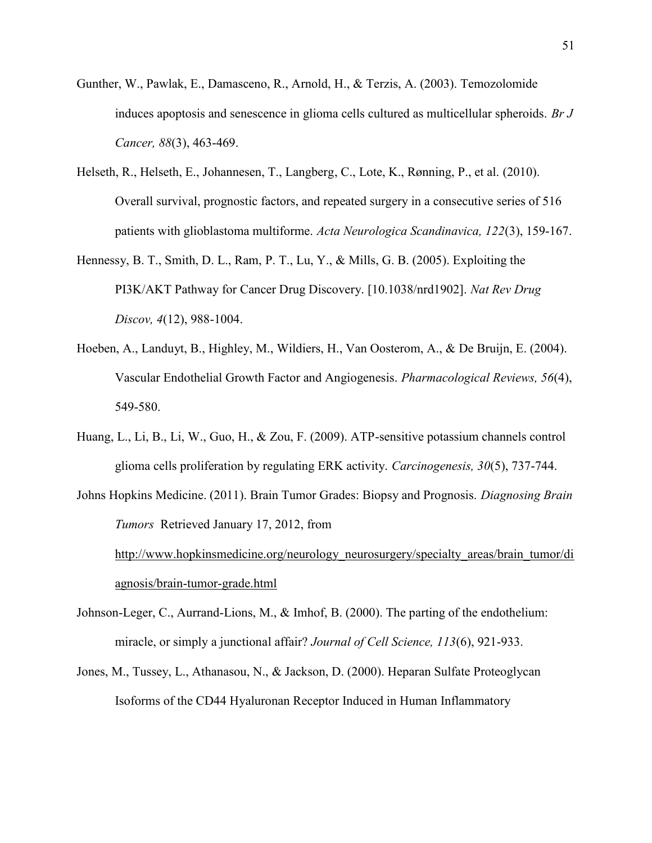- Gunther, W., Pawlak, E., Damasceno, R., Arnold, H., & Terzis, A. (2003). Temozolomide induces apoptosis and senescence in glioma cells cultured as multicellular spheroids. *Br J Cancer, 88*(3), 463-469.
- Helseth, R., Helseth, E., Johannesen, T., Langberg, C., Lote, K., Rønning, P., et al. (2010). Overall survival, prognostic factors, and repeated surgery in a consecutive series of 516 patients with glioblastoma multiforme. *Acta Neurologica Scandinavica, 122*(3), 159-167.
- Hennessy, B. T., Smith, D. L., Ram, P. T., Lu, Y., & Mills, G. B. (2005). Exploiting the PI3K/AKT Pathway for Cancer Drug Discovery. [10.1038/nrd1902]. *Nat Rev Drug Discov, 4*(12), 988-1004.
- Hoeben, A., Landuyt, B., Highley, M., Wildiers, H., Van Oosterom, A., & De Bruijn, E. (2004). Vascular Endothelial Growth Factor and Angiogenesis. *Pharmacological Reviews, 56*(4), 549-580.
- Huang, L., Li, B., Li, W., Guo, H., & Zou, F. (2009). ATP-sensitive potassium channels control glioma cells proliferation by regulating ERK activity. *Carcinogenesis, 30*(5), 737-744.
- Johns Hopkins Medicine. (2011). Brain Tumor Grades: Biopsy and Prognosis. *Diagnosing Brain Tumors* Retrieved January 17, 2012, from http://www.hopkinsmedicine.org/neurology\_neurosurgery/specialty\_areas/brain\_tumor/di agnosis/brain-tumor-grade.html
- Johnson-Leger, C., Aurrand-Lions, M., & Imhof, B. (2000). The parting of the endothelium: miracle, or simply a junctional affair? *Journal of Cell Science, 113*(6), 921-933.
- Jones, M., Tussey, L., Athanasou, N., & Jackson, D. (2000). Heparan Sulfate Proteoglycan Isoforms of the CD44 Hyaluronan Receptor Induced in Human Inflammatory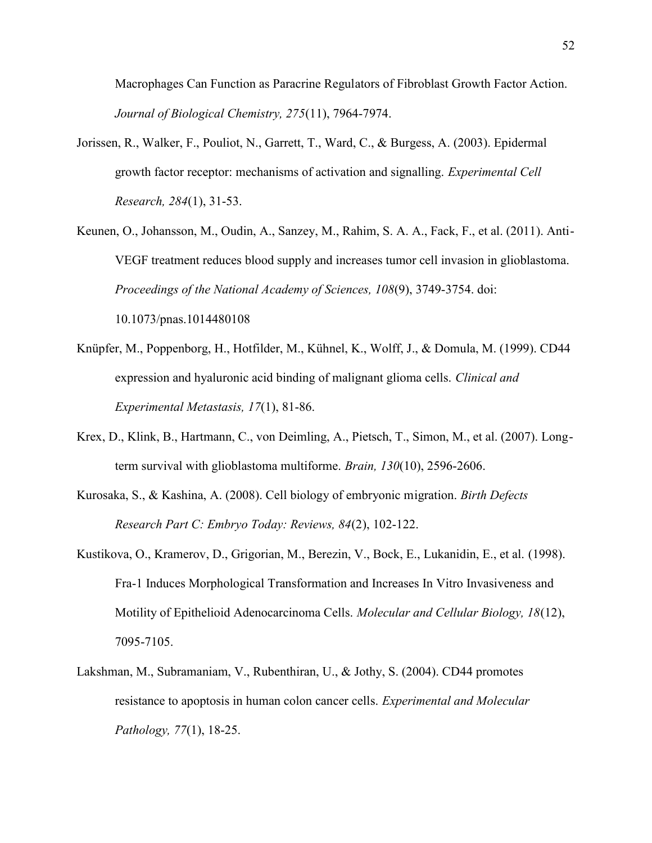Macrophages Can Function as Paracrine Regulators of Fibroblast Growth Factor Action. *Journal of Biological Chemistry, 275*(11), 7964-7974.

- Jorissen, R., Walker, F., Pouliot, N., Garrett, T., Ward, C., & Burgess, A. (2003). Epidermal growth factor receptor: mechanisms of activation and signalling. *Experimental Cell Research, 284*(1), 31-53.
- Keunen, O., Johansson, M., Oudin, A., Sanzey, M., Rahim, S. A. A., Fack, F., et al. (2011). Anti- VEGF treatment reduces blood supply and increases tumor cell invasion in glioblastoma. *Proceedings of the National Academy of Sciences, 108*(9), 3749-3754. doi: 10.1073/pnas.1014480108
- Knüpfer, M., Poppenborg, H., Hotfilder, M., Kühnel, K., Wolff, J., & Domula, M. (1999). CD44 expression and hyaluronic acid binding of malignant glioma cells. *Clinical and Experimental Metastasis, 17*(1), 81-86.
- Krex, D., Klink, B., Hartmann, C., von Deimling, A., Pietsch, T., Simon, M., et al. (2007). Longterm survival with glioblastoma multiforme. *Brain, 130*(10), 2596-2606.
- Kurosaka, S., & Kashina, A. (2008). Cell biology of embryonic migration. *Birth Defects Research Part C: Embryo Today: Reviews, 84*(2), 102-122.
- Kustikova, O., Kramerov, D., Grigorian, M., Berezin, V., Bock, E., Lukanidin, E., et al. (1998). Fra-1 Induces Morphological Transformation and Increases In Vitro Invasiveness and Motility of Epithelioid Adenocarcinoma Cells. *Molecular and Cellular Biology, 18*(12), 7095-7105.
- Lakshman, M., Subramaniam, V., Rubenthiran, U., & Jothy, S. (2004). CD44 promotes resistance to apoptosis in human colon cancer cells. *Experimental and Molecular Pathology, 77*(1), 18-25.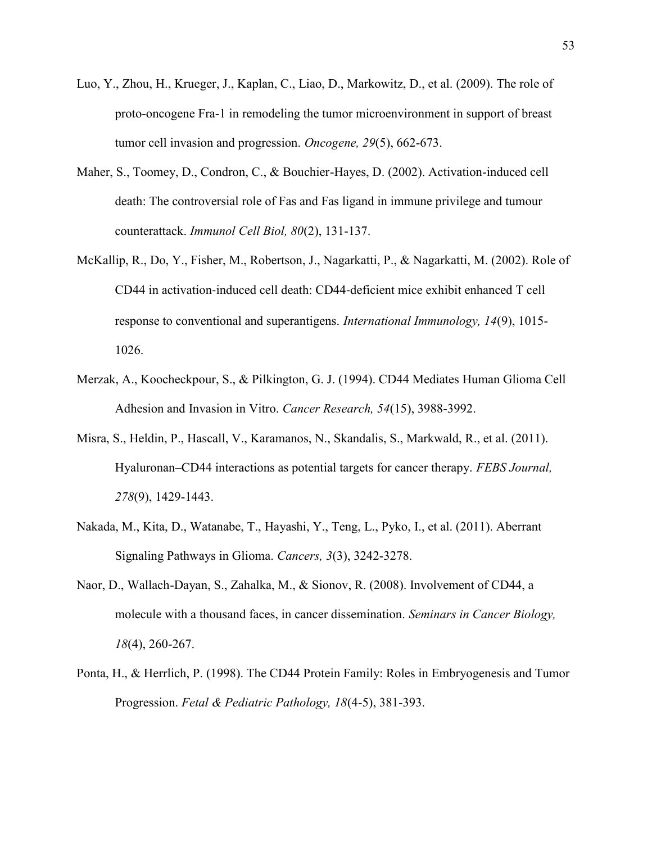- Luo, Y., Zhou, H., Krueger, J., Kaplan, C., Liao, D., Markowitz, D., et al. (2009). The role of proto-oncogene Fra-1 in remodeling the tumor microenvironment in support of breast tumor cell invasion and progression. *Oncogene, 29*(5), 662-673.
- Maher, S., Toomey, D., Condron, C., & Bouchier-Hayes, D. (2002). Activation-induced cell death: The controversial role of Fas and Fas ligand in immune privilege and tumour counterattack. *Immunol Cell Biol, 80*(2), 131-137.
- McKallip, R., Do, Y., Fisher, M., Robertson, J., Nagarkatti, P., & Nagarkatti, M. (2002). Role of CD44 in activation‐induced cell death: CD44‐deficient mice exhibit enhanced T cell response to conventional and superantigens. *International Immunology, 14*(9), 1015- 1026.
- Merzak, A., Koocheckpour, S., & Pilkington, G. J. (1994). CD44 Mediates Human Glioma Cell Adhesion and Invasion in Vitro. *Cancer Research, 54*(15), 3988-3992.
- Misra, S., Heldin, P., Hascall, V., Karamanos, N., Skandalis, S., Markwald, R., et al. (2011). Hyaluronan–CD44 interactions as potential targets for cancer therapy. *FEBS Journal, 278*(9), 1429-1443.
- Nakada, M., Kita, D., Watanabe, T., Hayashi, Y., Teng, L., Pyko, I., et al. (2011). Aberrant Signaling Pathways in Glioma. *Cancers, 3*(3), 3242-3278.
- Naor, D., Wallach-Dayan, S., Zahalka, M., & Sionov, R. (2008). Involvement of CD44, a molecule with a thousand faces, in cancer dissemination. *Seminars in Cancer Biology, 18*(4), 260-267.
- Ponta, H., & Herrlich, P. (1998). The CD44 Protein Family: Roles in Embryogenesis and Tumor Progression. *Fetal & Pediatric Pathology, 18*(4-5), 381-393.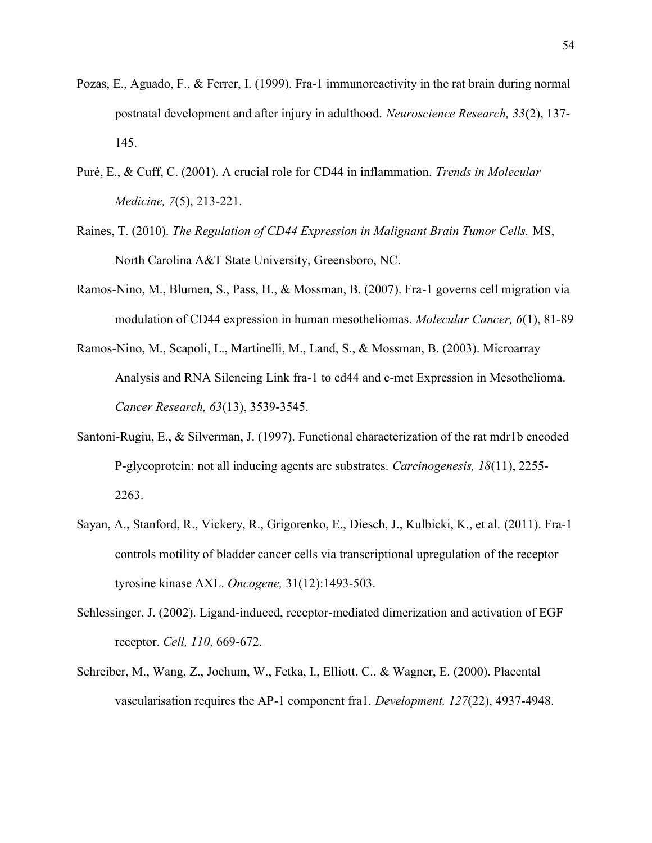- Pozas, E., Aguado, F., & Ferrer, I. (1999). Fra-1 immunoreactivity in the rat brain during normal postnatal development and after injury in adulthood. *Neuroscience Research, 33*(2), 137- 145.
- Puré, E., & Cuff, C. (2001). A crucial role for CD44 in inflammation. *Trends in Molecular Medicine, 7*(5), 213-221.
- Raines, T. (2010). *The Regulation of CD44 Expression in Malignant Brain Tumor Cells.* MS, North Carolina A&T State University, Greensboro, NC.
- Ramos-Nino, M., Blumen, S., Pass, H., & Mossman, B. (2007). Fra-1 governs cell migration via modulation of CD44 expression in human mesotheliomas. *Molecular Cancer, 6*(1), 81-89
- Ramos-Nino, M., Scapoli, L., Martinelli, M., Land, S., & Mossman, B. (2003). Microarray Analysis and RNA Silencing Link fra-1 to cd44 and c-met Expression in Mesothelioma. *Cancer Research, 63*(13), 3539-3545.
- Santoni-Rugiu, E., & Silverman, J. (1997). Functional characterization of the rat mdr1b encoded P-glycoprotein: not all inducing agents are substrates. *Carcinogenesis, 18*(11), 2255- 2263.
- Sayan, A., Stanford, R., Vickery, R., Grigorenko, E., Diesch, J., Kulbicki, K., et al. (2011). Fra-1 controls motility of bladder cancer cells via transcriptional upregulation of the receptor tyrosine kinase AXL. *Oncogene,* 31(12):1493-503.
- Schlessinger, J. (2002). Ligand-induced, receptor-mediated dimerization and activation of EGF receptor. *Cell, 110*, 669-672.
- Schreiber, M., Wang, Z., Jochum, W., Fetka, I., Elliott, C., & Wagner, E. (2000). Placental vascularisation requires the AP-1 component fra1. *Development, 127*(22), 4937-4948.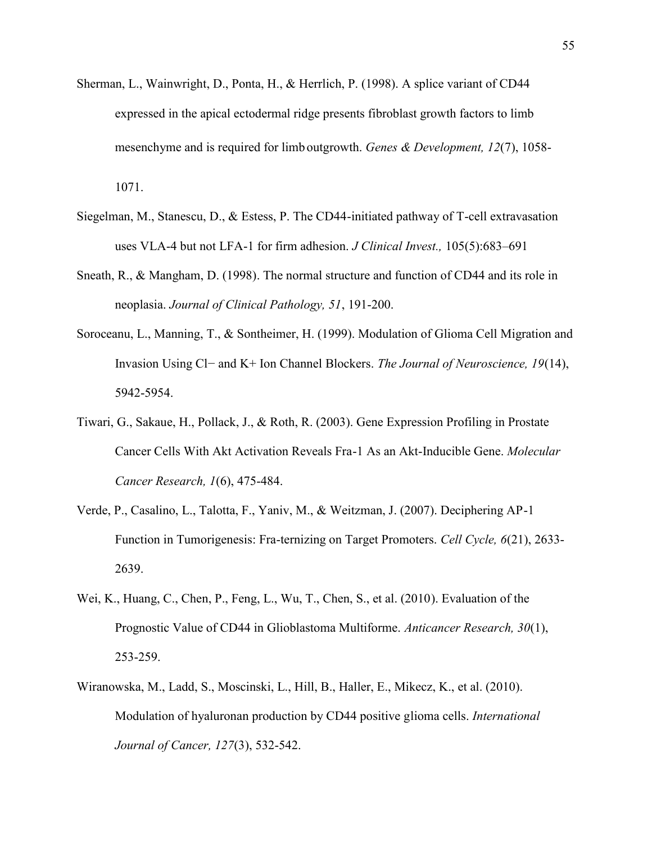- Sherman, L., Wainwright, D., Ponta, H., & Herrlich, P. (1998). A splice variant of CD44 expressed in the apical ectodermal ridge presents fibroblast growth factors to limb mesenchyme and is required for limb outgrowth. *Genes & Development, 12*(7), 1058- 1071.
- Siegelman, M., Stanescu, D., & Estess, P. The CD44-initiated pathway of T-cell extravasation uses VLA-4 but not LFA-1 for firm adhesion. *J Clinical Invest.,* 105(5):683–691
- Sneath, R., & Mangham, D. (1998). The normal structure and function of CD44 and its role in neoplasia. *Journal of Clinical Pathology, 51*, 191-200.
- Soroceanu, L., Manning, T., & Sontheimer, H. (1999). Modulation of Glioma Cell Migration and Invasion Using Cl− and K+ Ion Channel Blockers. *The Journal of Neuroscience, 19*(14), 5942-5954.
- Tiwari, G., Sakaue, H., Pollack, J., & Roth, R. (2003). Gene Expression Profiling in Prostate Cancer Cells With Akt Activation Reveals Fra-1 As an Akt-Inducible Gene. *Molecular Cancer Research, 1*(6), 475-484.
- Verde, P., Casalino, L., Talotta, F., Yaniv, M., & Weitzman, J. (2007). Deciphering AP-1 Function in Tumorigenesis: Fra-ternizing on Target Promoters. *Cell Cycle, 6*(21), 2633- 2639.
- Wei, K., Huang, C., Chen, P., Feng, L., Wu, T., Chen, S., et al. (2010). Evaluation of the Prognostic Value of CD44 in Glioblastoma Multiforme. *Anticancer Research, 30*(1), 253-259.
- Wiranowska, M., Ladd, S., Moscinski, L., Hill, B., Haller, E., Mikecz, K., et al. (2010). Modulation of hyaluronan production by CD44 positive glioma cells. *International Journal of Cancer, 127*(3), 532-542.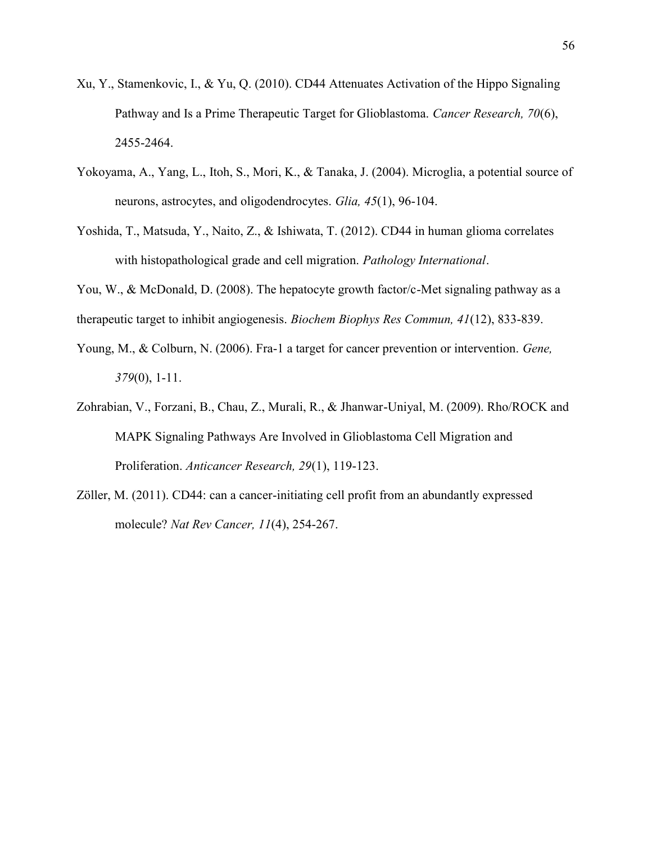- Xu, Y., Stamenkovic, I., & Yu, Q. (2010). CD44 Attenuates Activation of the Hippo Signaling Pathway and Is a Prime Therapeutic Target for Glioblastoma. *Cancer Research, 70*(6), 2455-2464.
- Yokoyama, A., Yang, L., Itoh, S., Mori, K., & Tanaka, J. (2004). Microglia, a potential source of neurons, astrocytes, and oligodendrocytes. *Glia, 45*(1), 96-104.
- Yoshida, T., Matsuda, Y., Naito, Z., & Ishiwata, T. (2012). CD44 in human glioma correlates with histopathological grade and cell migration. *Pathology International*.
- You, W., & McDonald, D. (2008). The hepatocyte growth factor/c-Met signaling pathway as a therapeutic target to inhibit angiogenesis. *Biochem Biophys Res Commun, 41*(12), 833-839.
- Young, M., & Colburn, N. (2006). Fra-1 a target for cancer prevention or intervention. *Gene, 379*(0), 1-11.
- Zohrabian, V., Forzani, B., Chau, Z., Murali, R., & Jhanwar-Uniyal, M. (2009). Rho/ROCK and MAPK Signaling Pathways Are Involved in Glioblastoma Cell Migration and Proliferation. *Anticancer Research, 29*(1), 119-123.
- Zöller, M. (2011). CD44: can a cancer-initiating cell profit from an abundantly expressed molecule? *Nat Rev Cancer, 11*(4), 254-267.